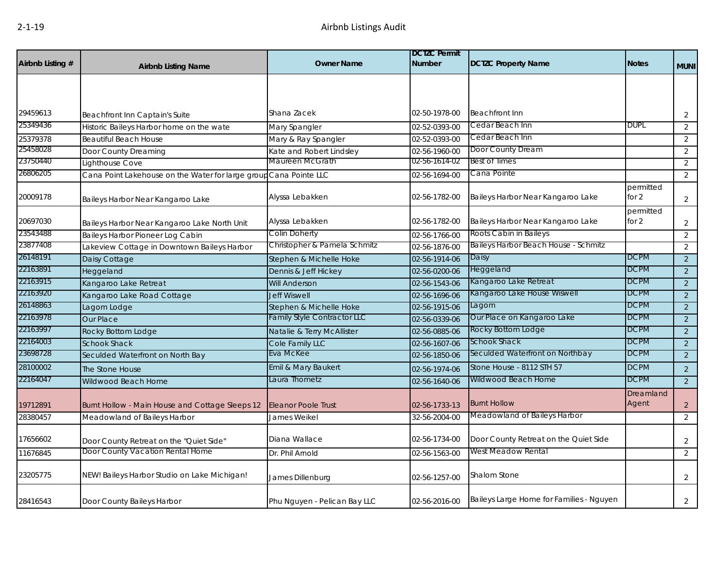| Airbnb Listing # | <b>Airbnb Listing Name</b>                        | <b>Owner Name</b>                  | <b>DCTZC Permit</b><br><b>Number</b> | <b>DCTZC Property Name</b>               | <b>Notes</b>         | <b>MUNI</b>    |
|------------------|---------------------------------------------------|------------------------------------|--------------------------------------|------------------------------------------|----------------------|----------------|
|                  |                                                   |                                    |                                      |                                          |                      |                |
|                  |                                                   |                                    |                                      |                                          |                      |                |
| 29459613         | Beachfront Inn Captain's Suite                    | Shana Zacek                        | 02-50-1978-00                        | <b>Beachfront Inn</b>                    |                      | $\overline{2}$ |
| 25349436         | Historic Baileys Harbor home on the wate          | Mary Spangler                      | 02-52-0393-00                        | Cedar Beach Inn                          | <b>DUPL</b>          | $\overline{2}$ |
| 25379378         | <b>Beautiful Beach House</b>                      | Mary & Ray Spangler                | 02-52-0393-00                        | Cedar Beach Inn                          |                      | 2              |
| 25458028         | Door County Dreaming                              | Kate and Robert Lindsley           | 02-56-1960-00                        | Door County Dream                        |                      | 2              |
| 23750440         | Lighthouse Cove                                   | Maureen McGrath                    | 02-56-1614-02                        | <b>Best of Times</b>                     |                      | 2              |
| 26806205         | Cana Point Lakehouse on the Water for large group | Cana Pointe LLC                    | 02-56-1694-00                        | Cana Pointe                              |                      | 2              |
| 20009178         | Baileys Harbor Near Kangaroo Lake                 | Alyssa Lebakken                    | 02-56-1782-00                        | Baileys Harbor Near Kangaroo Lake        | permitted<br>for 2   | $\overline{2}$ |
| 20697030         | Baileys Harbor Near Kangaroo Lake North Unit      | Alyssa Lebakken                    | 02-56-1782-00                        | Baileys Harbor Near Kangaroo Lake        | permitted<br>for $2$ | $\overline{2}$ |
| 23543488         | Baileys Harbor Pioneer Log Cabin                  | Colin Doherty                      | 02-56-1766-00                        | Roots Cabin in Baileys                   |                      | 2              |
| 23877408         | Lakeview Cottage in Downtown Baileys Harbor       | Christopher & Pamela Schmitz       | 02-56-1876-00                        | Baileys Harbor Beach House - Schmitz     |                      | 2              |
| 26148191         | Daisy Cottage                                     | Stephen & Michelle Hoke            | 02-56-1914-06                        | Daisy                                    | <b>DCPM</b>          | 2              |
| 22163891         | Heggeland                                         | Dennis & Jeff Hickey               | 02-56-0200-06                        | Heggeland                                | <b>DCPM</b>          | $\overline{2}$ |
| 22163915         | Kangaroo Lake Retreat                             | <b>Will Anderson</b>               | 02-56-1543-06                        | Kangaroo Lake Retreat                    | <b>DCPM</b>          | 2              |
| 22163920         | Kangaroo Lake Road Cottage                        | <b>Jeff Wiswell</b>                | 02-56-1696-06                        | Kangaroo Lake House Wiswell              | <b>DCPM</b>          | 2              |
| 26148863         | Lagom Lodge                                       | Stephen & Michelle Hoke            | 02-56-1915-06                        | Lagom                                    | <b>DCPM</b>          | 2              |
| 22163978         | Our Place                                         | <b>Family Style Contractor LLC</b> | 02-56-0339-06                        | Our Place on Kangaroo Lake               | <b>DCPM</b>          | $\overline{2}$ |
| 22163997         | Rocky Bottom Lodge                                | Natalie & Terry McAllister         | 02-56-0885-06                        | Rocky Bottom Lodge                       | <b>DCPM</b>          | 2              |
| 22164003         | <b>Schook Shack</b>                               | Cole Family LLC                    | 02-56-1607-06                        | Schook Shack                             | <b>DCPM</b>          | 2              |
| 23698728         | Seculded Waterfront on North Bay                  | Eva McKee                          | 02-56-1850-06                        | Seculded Waterfront on Northbay          | <b>DCPM</b>          | 2              |
| 28100002         | The Stone House                                   | Emil & Mary Baukert                | 02-56-1974-06                        | Stone House - 8112 STH 57                | <b>DCPM</b>          | 2              |
| 22164047         | Wildwood Beach Home                               | Laura Thometz                      | 02-56-1640-06                        | Wildwood Beach Home                      | <b>DCPM</b>          | 2              |
| 19712891         | Burnt Hollow - Main House and Cottage Sleeps 12   | <b>Eleanor Poole Trust</b>         | 02-56-1733-13                        | <b>Burnt Hollow</b>                      | Dreamland<br>Agent   | $\overline{2}$ |
| 28380457         | Meadowland of Baileys Harbor                      | James Weikel                       | 32-56-2004-00                        | Meadowland of Baileys Harbor             |                      | 2              |
| 17656602         | Door County Retreat on the "Quiet Side"           | Diana Wallace                      | 02-56-1734-00                        | Door County Retreat on the Quiet Side    |                      | $\overline{2}$ |
| 11676845         | Door County Vacation Rental Home                  | Dr. Phil Arnold                    | 02-56-1563-00                        | West Meadow Rental                       |                      | 2              |
| 23205775         | NEW! Baileys Harbor Studio on Lake Michigan!      | James Dillenburg                   | 02-56-1257-00                        | Shalom Stone                             |                      | 2              |
| 28416543         | Door County Baileys Harbor                        | Phu Nguyen - Pelican Bay LLC       | 02-56-2016-00                        | Baileys Large Home for Families - Nguyen |                      | $\overline{2}$ |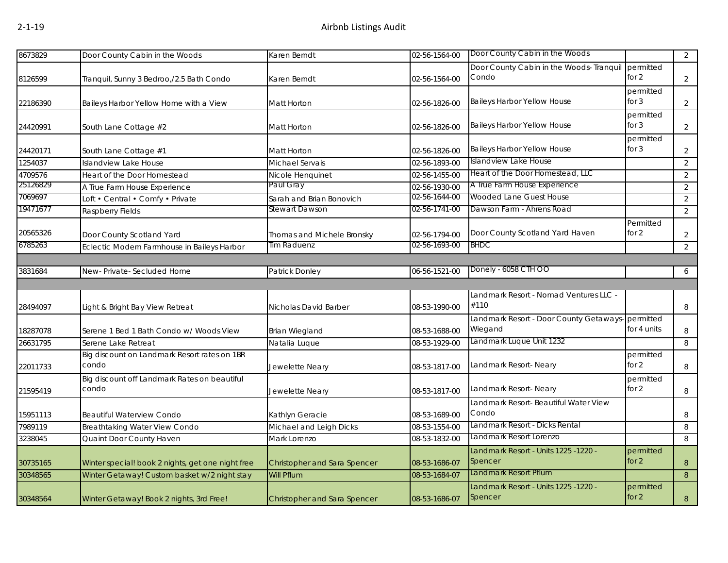| 8673829  | Door County Cabin in the Woods                    | Karen Berndt                        | 02-56-1564-00 | Door County Cabin in the Woods                     |             | $\overline{2}$   |
|----------|---------------------------------------------------|-------------------------------------|---------------|----------------------------------------------------|-------------|------------------|
|          |                                                   |                                     |               | Door County Cabin in the Woods- Tranquil permitted |             |                  |
| 8126599  | Tranquil, Sunny 3 Bedroo,/2.5 Bath Condo          | Karen Berndt                        | 02-56-1564-00 | Condo                                              | for 2       | $\overline{2}$   |
|          |                                                   |                                     |               |                                                    | permitted   |                  |
| 22186390 | Baileys Harbor Yellow Home with a View            | Matt Horton                         | 02-56-1826-00 | <b>Baileys Harbor Yellow House</b>                 | for $3$     | $\overline{2}$   |
|          |                                                   |                                     |               |                                                    | permitted   |                  |
| 24420991 | South Lane Cottage #2                             | Matt Horton                         | 02-56-1826-00 | <b>Baileys Harbor Yellow House</b>                 | for $3$     | $\overline{2}$   |
|          |                                                   |                                     |               |                                                    | permitted   |                  |
| 24420171 | South Lane Cottage #1                             | <b>Matt Horton</b>                  | 02-56-1826-00 | <b>Baileys Harbor Yellow House</b>                 | for $3$     | $\overline{2}$   |
| 1254037  | <b>Islandview Lake House</b>                      | Michael Servais                     | 02-56-1893-00 | Islandview Lake House                              |             | $\overline{2}$   |
| 4709576  | Heart of the Door Homestead                       | Nicole Henquinet                    | 02-56-1455-00 | Heart of the Door Homestead, LLC                   |             | $\overline{2}$   |
| 25126829 | A True Farm House Experience                      | Paul Gray                           | 02-56-1930-00 | A True Farm House Experience                       |             | $\overline{2}$   |
| 7069697  | Loft • Central • Comfy • Private                  | Sarah and Brian Bonovich            | 02-56-1644-00 | Wooded Lane Guest House                            |             | $\overline{2}$   |
| 19471677 | Raspberry Fields                                  | Stewart Dawson                      | 02-56-1741-00 | Dawson Farm - Ahrens Road                          |             | $\overline{2}$   |
|          |                                                   |                                     |               |                                                    | Permitted   |                  |
| 20565326 | Door County Scotland Yard                         | Thomas and Michele Bronsky          | 02-56-1794-00 | Door County Scotland Yard Haven                    | for $2$     | $\overline{2}$   |
| 6785263  | Eclectic Modern Farmhouse in Baileys Harbor       | Tim Raduenz                         | 02-56-1693-00 | <b>BHDC</b>                                        |             | $\overline{2}$   |
|          |                                                   |                                     |               |                                                    |             |                  |
| 3831684  | New-Private-Secluded Home                         | Patrick Donley                      | 06-56-1521-00 | Donely - 6058 CTH OO                               |             | 6                |
|          |                                                   |                                     |               |                                                    |             |                  |
|          |                                                   |                                     |               | Landmark Resort - Nomad Ventures LLC -             |             |                  |
| 28494097 | Light & Bright Bay View Retreat                   | Nicholas David Barber               | 08-53-1990-00 | #110                                               |             | 8                |
|          |                                                   |                                     |               | Landmark Resort - Door County Getaways-permitted   |             |                  |
| 18287078 | Serene 1 Bed 1 Bath Condo w/ Woods View           | <b>Brian Wiegland</b>               | 08-53-1688-00 | Wiegand                                            | for 4 units | 8                |
| 26631795 | Serene Lake Retreat                               | Natalia Luque                       | 08-53-1929-00 | Landmark Luque Unit 1232                           |             | 8                |
|          | Big discount on Landmark Resort rates on 1BR      |                                     |               |                                                    | permitted   |                  |
| 22011733 | condo                                             | Jewelette Neary                     | 08-53-1817-00 | Landmark Resort- Neary                             | for $2$     | 8                |
|          | Big discount off Landmark Rates on beautiful      |                                     |               |                                                    | permitted   |                  |
| 21595419 | condo                                             | Jewelette Neary                     | 08-53-1817-00 | Landmark Resort- Neary                             | for 2       | 8                |
|          |                                                   |                                     |               | Landmark Resort- Beautiful Water View              |             |                  |
| 15951113 | <b>Beautiful Waterview Condo</b>                  | Kathlyn Geracie                     | 08-53-1689-00 | Condo                                              |             | 8                |
| 7989119  | Breathtaking Water View Condo                     | Michael and Leigh Dicks             | 08-53-1554-00 | Landmark Resort - Dicks Rental                     |             | 8                |
| 3238045  | Quaint Door County Haven                          | Mark Lorenzo                        | 08-53-1832-00 | Landmark Resort Lorenzo                            |             | 8                |
|          |                                                   |                                     |               | Landmark Resort - Units 1225 -1220 -               | permitted   |                  |
| 30735165 | Winter special! book 2 nights, get one night free | Christopher and Sara Spencer        | 08-53-1686-07 | Spencer                                            | for $2$     | 8                |
| 30348565 | Winter Getaway! Custom basket w/2 night stay      | Will Pflum                          | 08-53-1684-07 | Landmark Resort Pflum                              |             | $\boldsymbol{8}$ |
|          |                                                   |                                     |               | Landmark Resort - Units 1225 -1220 -               | permitted   |                  |
| 30348564 | Winter Getaway! Book 2 nights, 3rd Free!          | <b>Christopher and Sara Spencer</b> | 08-53-1686-07 | Spencer                                            | for $2$     | $\, 8$           |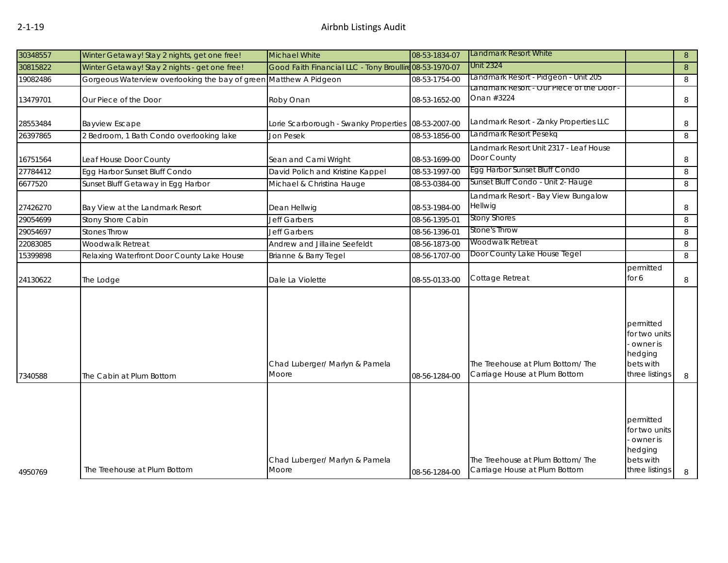| 30348557 | Winter Getaway! Stay 2 nights, get one free!    | <b>Michael White</b>                                    | 08-53-1834-07 | Landmark Resort White                                             |                                                                                  | 8              |
|----------|-------------------------------------------------|---------------------------------------------------------|---------------|-------------------------------------------------------------------|----------------------------------------------------------------------------------|----------------|
| 30815822 | Winter Getaway! Stay 2 nights - get one free!   | Good Faith Financial LLC - Tony Broullire 08-53-1970-07 |               | Unit 2324                                                         |                                                                                  | $8\phantom{1}$ |
| 19082486 | Gorgeous Waterview overlooking the bay of green | Matthew A Pidgeon                                       | 08-53-1754-00 | Landmark Resort - Pidgeon - Unit 205                              |                                                                                  | 8              |
| 13479701 | Our Piece of the Door                           | Roby Onan                                               | 08-53-1652-00 | Landmark Resort - Our Piece of the Door<br>Onan #3224             |                                                                                  | 8              |
| 28553484 | <b>Bayview Escape</b>                           | Lorie Scarborough - Swanky Properties                   | 08-53-2007-00 | Landmark Resort - Zanky Properties LLC                            |                                                                                  | 8              |
| 26397865 | 2 Bedroom, 1 Bath Condo overlooking lake        | Jon Pesek                                               | 08-53-1856-00 | Landmark Resort Pesekq                                            |                                                                                  | 8              |
| 16751564 | Leaf House Door County                          | Sean and Cami Wright                                    | 08-53-1699-00 | Landmark Resort Unit 2317 - Leaf House<br>Door County             |                                                                                  | 8              |
| 27784412 | Egg Harbor Sunset Bluff Condo                   | David Polich and Kristine Kappel                        | 08-53-1997-00 | Egg Harbor Sunset Bluff Condo                                     |                                                                                  | 8              |
| 6677520  | Sunset Bluff Getaway in Egg Harbor              | Michael & Christina Hauge                               | 08-53-0384-00 | Sunset Bluff Condo - Unit 2- Hauge                                |                                                                                  | 8              |
| 27426270 | Bay View at the Landmark Resort                 | Dean Hellwig                                            | 08-53-1984-00 | Landmark Resort - Bay View Bungalow<br>Hellwig                    |                                                                                  | 8              |
| 29054699 | Stony Shore Cabin                               | Jeff Garbers                                            | 08-56-1395-01 | <b>Stony Shores</b>                                               |                                                                                  | 8              |
| 29054697 | <b>Stones Throw</b>                             | Jeff Garbers                                            | 08-56-1396-01 | Stone's Throw                                                     |                                                                                  | 8              |
| 22083085 | Woodwalk Retreat                                | Andrew and Jillaine Seefeldt                            | 08-56-1873-00 | Woodwalk Retreat                                                  |                                                                                  | 8              |
| 15399898 | Relaxing Waterfront Door County Lake House      | Brianne & Barry Tegel                                   | 08-56-1707-00 | Door County Lake House Tegel                                      |                                                                                  | 8              |
| 24130622 | The Lodge                                       | Dale La Violette                                        | 08-55-0133-00 | Cottage Retreat                                                   | permitted<br>for 6                                                               | 8              |
| 7340588  | The Cabin at Plum Bottom                        | Chad Luberger/ Marlyn & Pamela<br>Moore                 | 08-56-1284-00 | The Treehouse at Plum Bottom/The<br>Carriage House at Plum Bottom | permitted<br>for two units<br>owner is<br>hedging<br>bets with<br>three listings | 8              |
| 4950769  | The Treehouse at Plum Bottom                    | Chad Luberger/ Marlyn & Pamela<br>Moore                 | 08-56-1284-00 | The Treehouse at Plum Bottom/The<br>Carriage House at Plum Bottom | permitted<br>for two units<br>owner is<br>hedging<br>bets with<br>three listings | 8              |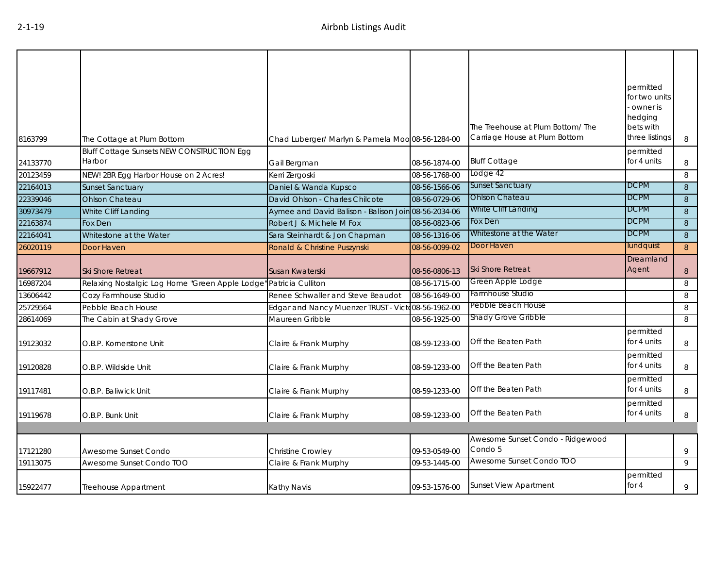| 8163799  | The Cottage at Plum Bottom                        | Chad Luberger/ Marlyn & Pamela Moo 08-56-1284-00     |               | The Treehouse at Plum Bottom/The<br>Carriage House at Plum Bottom | permitted<br>for two units<br>owner is<br>hedging<br>bets with<br>three listings | 8 |
|----------|---------------------------------------------------|------------------------------------------------------|---------------|-------------------------------------------------------------------|----------------------------------------------------------------------------------|---|
|          | <b>Bluff Cottage Sunsets NEW CONSTRUCTION Egg</b> |                                                      |               |                                                                   | permitted                                                                        |   |
| 24133770 | Harbor                                            | Gail Bergman                                         | 08-56-1874-00 | <b>Bluff Cottage</b>                                              | for 4 units                                                                      | 8 |
| 20123459 | NEW! 2BR Egg Harbor House on 2 Acres!             | Kerri Zergoski                                       | 08-56-1768-00 | Lodge 42                                                          |                                                                                  | 8 |
| 22164013 | <b>Sunset Sanctuary</b>                           | Daniel & Wanda Kupsco                                | 08-56-1566-06 | Sunset Sanctuary                                                  | <b>DCPM</b>                                                                      | 8 |
| 22339046 | <b>Ohlson Chateau</b>                             | David Ohlson - Charles Chilcote                      | 08-56-0729-06 | <b>Ohlson Chateau</b>                                             | <b>DCPM</b>                                                                      | 8 |
| 30973479 | White Cliff Landing                               | Aymee and David Balison - Balison Join 08-56-2034-06 |               | White Cliff Landing                                               | <b>DCPM</b>                                                                      | 8 |
| 22163874 | Fox Den                                           | Robert J & Michele M Fox                             | 08-56-0823-06 | Fox Den                                                           | <b>DCPM</b>                                                                      | 8 |
| 22164041 | Whitestone at the Water                           | Sara Steinhardt & Jon Chapman                        | 08-56-1316-06 | Whitestone at the Water                                           | <b>DCPM</b>                                                                      | 8 |
| 26020119 | Door Haven                                        | Ronald & Christine Puszynski                         | 08-56-0099-02 | Door Haven                                                        | lundquist                                                                        | 8 |
| 19667912 | <b>Ski Shore Retreat</b>                          | Susan Kwaterski                                      | 08-56-0806-13 | <b>Ski Shore Retreat</b>                                          | Dreamland<br>Agent                                                               | 8 |
| 16987204 | Relaxing Nostalgic Log Home "Green Apple Lodge"   | Patricia Culliton                                    | 08-56-1715-00 | Green Apple Lodge                                                 |                                                                                  | 8 |
| 13606442 | Cozy Farmhouse Studio                             | Renee Schwaller and Steve Beaudot                    | 08-56-1649-00 | Farmhouse Studio                                                  |                                                                                  | 8 |
| 25729564 | Pebble Beach House                                | Edgar and Nancy Muenzer TRUST - Victo08-56-1962-00   |               | Pebble Beach House                                                |                                                                                  | 8 |
| 28614069 | The Cabin at Shady Grove                          | Maureen Gribble                                      | 08-56-1925-00 | Shady Grove Gribble                                               |                                                                                  | 8 |
| 19123032 | O.B.P. Kornerstone Unit                           | Claire & Frank Murphy                                | 08-59-1233-00 | Off the Beaten Path                                               | permitted<br>for 4 units                                                         | 8 |
| 19120828 | O.B.P. Wildside Unit                              | Claire & Frank Murphy                                | 08-59-1233-00 | Off the Beaten Path                                               | permitted<br>for 4 units                                                         | 8 |
| 19117481 | O.B.P. Baliwick Unit                              | Claire & Frank Murphy                                | 08-59-1233-00 | Off the Beaten Path                                               | permitted<br>for 4 units                                                         | 8 |
| 19119678 | O.B.P. Bunk Unit                                  | Claire & Frank Murphy                                | 08-59-1233-00 | Off the Beaten Path                                               | permitted<br>for 4 units                                                         | 8 |
|          |                                                   |                                                      |               |                                                                   |                                                                                  |   |
| 17121280 | Awesome Sunset Condo                              | Christine Crowley                                    | 09-53-0549-00 | Awesome Sunset Condo - Ridgewood<br>Condo 5                       |                                                                                  | 9 |
| 19113075 | Awesome Sunset Condo TOO                          | Claire & Frank Murphy                                | 09-53-1445-00 | Awesome Sunset Condo TOO                                          |                                                                                  | 9 |
| 15922477 | Treehouse Appartment                              | Kathy Navis                                          | 09-53-1576-00 | Sunset View Apartment                                             | permitted<br>for $4$                                                             | 9 |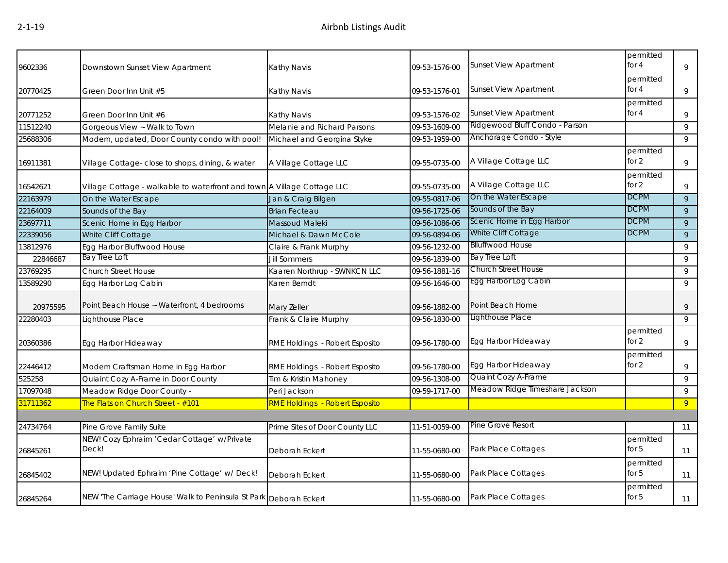| 9602336  | Downstown Sunset View Apartment                                         | <b>Kathy Navis</b>             | 09-53-1576-00 | <b>Sunset View Apartment</b>   | permitted<br>for 4   | 9              |
|----------|-------------------------------------------------------------------------|--------------------------------|---------------|--------------------------------|----------------------|----------------|
| 20770425 | Green Door Inn Unit #5                                                  | Kathy Navis                    | 09-53-1576-01 | <b>Sunset View Apartment</b>   | permitted<br>for $4$ | 9              |
| 20771252 | Green Door Inn Unit #6                                                  | Kathy Navis                    | 09-53-1576-02 | <b>Sunset View Apartment</b>   | permitted<br>for $4$ | 9              |
| 11512240 | Gorgeous View ~ Walk to Town                                            | Melanie and Richard Parsons    | 09-53-1609-00 | Ridgewood Bluff Condo - Parson |                      | 9              |
| 25688306 | Modern, updated, Door County condo with pool!                           | Michael and Georgina Styke     | 09-53-1959-00 | Anchorage Condo - Style        |                      | 9              |
| 16911381 | Village Cottage- close to shops, dining, & water                        | A Village Cottage LLC          | 09-55-0735-00 | A Village Cottage LLC          | permitted<br>for 2   | 9              |
| 16542621 | Village Cottage - walkable to waterfront and town A Village Cottage LLC |                                | 09-55-0735-00 | A Village Cottage LLC          | permitted<br>for $2$ | 9              |
| 22163979 | On the Water Escape                                                     | Jan & Craig Bilgen             | 09-55-0817-06 | On the Water Escape            | <b>DCPM</b>          | 9              |
| 22164009 | Sounds of the Bay                                                       | <b>Brian Fecteau</b>           | 09-56-1725-06 | Sounds of the Bay              | <b>DCPM</b>          | 9              |
| 23697711 | Scenic Home in Egg Harbor                                               | <b>Massoud Maleki</b>          | 09-56-1086-06 | Scenic Home in Egg Harbor      | <b>DCPM</b>          | 9              |
| 22339056 | White Cliff Cottage                                                     | Michael & Dawn McCole          | 09-56-0894-06 | White Cliff Cottage            | <b>DCPM</b>          | 9              |
| 13812976 | Egg Harbor Bluffwood House                                              | Claire & Frank Murphy          | 09-56-1232-00 | <b>Blluffwood House</b>        |                      | 9              |
| 22846687 | <b>Bay Tree Loft</b>                                                    | <b>Jill Sommers</b>            | 09-56-1839-00 | Bay Tree Loft                  |                      | 9              |
| 23769295 | Church Street House                                                     | Kaaren Northrup - SWNKCN LLC   | 09-56-1881-16 | <b>Church Street House</b>     |                      | 9              |
| 13589290 | Egg Harbor Log Cabin                                                    | Karen Berndt                   | 09-56-1646-00 | Egg Harbor Log Cabin           |                      | 9              |
| 20975595 | Point Beach House ~ Waterfront, 4 bedrooms                              | Mary Zeller                    | 09-56-1882-00 | Point Beach Home               |                      | 9              |
| 22280403 | Lighthouse Place                                                        | Frank & Claire Murphy          | 09-56-1830-00 | Lighthouse Place               |                      | 9              |
| 20360386 | Egg Harbor Hideaway                                                     | RME Holdings - Robert Esposito | 09-56-1780-00 | Egg Harbor Hideaway            | permitted<br>for 2   | 9              |
| 22446412 | Modern Craftsman Home in Egg Harbor                                     | RME Holdings - Robert Esposito | 09-56-1780-00 | Egg Harbor Hideaway            | permitted<br>for 2   | 9              |
| 525258   | Quiaint Cozy A-Frame in Door County                                     | Tim & Kristin Mahoney          | 09-56-1308-00 | Quaint Cozy A-Frame            |                      | 9              |
| 17097048 | Meadow Ridge Door County -                                              | Peri Jackson                   | 09-59-1717-00 | Meadow Ridge Timeshare Jackson |                      | 9              |
| 31711362 | The Flats on Church Street - #101                                       | RME Holdings - Robert Esposito |               |                                |                      | $\overline{9}$ |
|          |                                                                         |                                |               |                                |                      |                |
| 24734764 | Pine Grove Family Suite                                                 | Prime Sites of Door County LLC | 11-51-0059-00 | Pine Grove Resort              |                      | 11             |
| 26845261 | NEW! Cozy Ephraim 'Cedar Cottage' w/Private<br>Deck!                    | Deborah Eckert                 | 11-55-0680-00 | Park Place Cottages            | permitted<br>for $5$ | 11             |
| 26845402 | NEW! Updated Ephraim 'Pine Cottage' w/ Deck!                            | Deborah Eckert                 | 11-55-0680-00 | Park Place Cottages            | permitted<br>for $5$ | 11             |
| 26845264 | NEW 'The Carriage House' Walk to Peninsula St Park Deborah Eckert       |                                | 11-55-0680-00 | Park Place Cottages            | permitted<br>for $5$ | 11             |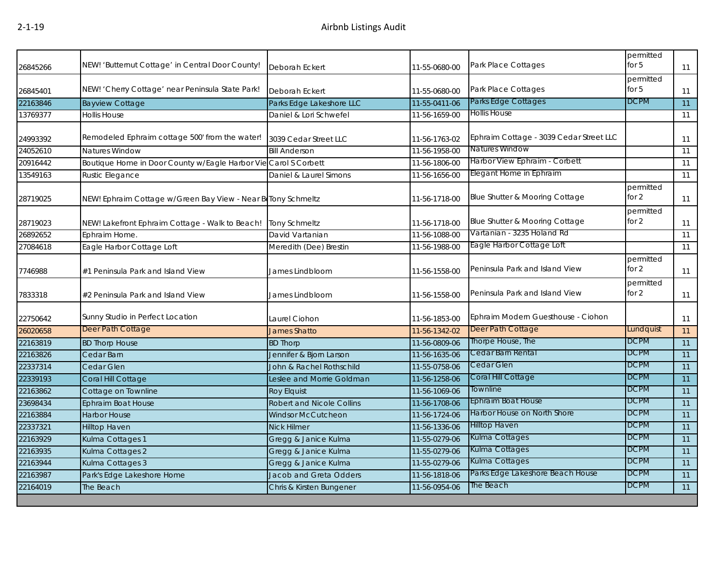| 26845266 | NEW! 'Butternut Cottage' in Central Door County!             | <b>Deborah Eckert</b>            | 11-55-0680-00 | Park Place Cottages                     | permitted<br>for $5$ | 11              |
|----------|--------------------------------------------------------------|----------------------------------|---------------|-----------------------------------------|----------------------|-----------------|
|          |                                                              |                                  |               |                                         | permitted            |                 |
| 26845401 | NEW! 'Cherry Cottage' near Peninsula State Park!             | Deborah Eckert                   | 11-55-0680-00 | Park Place Cottages                     | for $5$              | 11              |
| 22163846 | <b>Bayview Cottage</b>                                       | Parks Edge Lakeshore LLC         | 11-55-0411-06 | Parks Edge Cottages                     | <b>DCPM</b>          | $\overline{11}$ |
| 13769377 | <b>Hollis House</b>                                          | Daniel & Lori Schwefel           | 11-56-1659-00 | <b>Hollis House</b>                     |                      | 11              |
| 24993392 | Remodeled Ephraim cottage 500' from the water!               | 3039 Cedar Street LLC            | 11-56-1763-02 | Ephraim Cottage - 3039 Cedar Street LLC |                      | 11              |
| 24052610 | <b>Natures Window</b>                                        | <b>Bill Anderson</b>             | 11-56-1958-00 | <b>Natures Window</b>                   |                      | 11              |
| 20916442 | Boutique Home in Door County w/Eagle Harbor Vie              | Carol S Corbett                  | 11-56-1806-00 | Harbor View Ephraim - Corbett           |                      | 11              |
| 13549163 | Rustic Elegance                                              | Daniel & Laurel Simons           | 11-56-1656-00 | Elegant Home in Ephraim                 |                      | 11              |
| 28719025 | NEW! Ephraim Cottage w/Green Bay View - Near BeTony Schmeltz |                                  | 11-56-1718-00 | Blue Shutter & Mooring Cottage          | permitted<br>for 2   | 11              |
| 28719023 | NEW! Lakefront Ephraim Cottage - Walk to Beach!              | <b>Tony Schmeltz</b>             | 11-56-1718-00 | Blue Shutter & Mooring Cottage          | permitted<br>for 2   | 11              |
| 26892652 | Ephraim Home.                                                | David Vartanian                  | 11-56-1088-00 | Vartanian - 3235 Holand Rd              |                      | 11              |
| 27084618 | Eagle Harbor Cottage Loft                                    | Meredith (Dee) Brestin           | 11-56-1988-00 | Eagle Harbor Cottage Loft               |                      | 11              |
| 7746988  | #1 Peninsula Park and Island View                            | James Lindbloom                  | 11-56-1558-00 | Peninsula Park and Island View          | permitted<br>for 2   | 11              |
| 7833318  | #2 Peninsula Park and Island View                            | James Lindbloom                  | 11-56-1558-00 | Peninsula Park and Island View          | permitted<br>for 2   | 11              |
| 22750642 | Sunny Studio in Perfect Location                             | Laurel Ciohon                    | 11-56-1853-00 | Ephraim Modern Guesthouse - Ciohon      |                      | 11              |
| 26020658 | Deer Path Cottage                                            | <b>James Shatto</b>              | 11-56-1342-02 | Deer Path Cottage                       | Lundquist            | 11              |
| 22163819 | <b>BD Thorp House</b>                                        | <b>BD Thorp</b>                  | 11-56-0809-06 | Thorpe House, The                       | <b>DCPM</b>          | 11              |
| 22163826 | Cedar Barn                                                   | Jennifer & Bjorn Larson          | 11-56-1635-06 | Cedar Barn Rental                       | <b>DCPM</b>          | 11              |
| 22337314 | Cedar Glen                                                   | John & Rachel Rothschild         | 11-55-0758-06 | Cedar Glen                              | <b>DCPM</b>          | 11              |
| 22339193 | Coral Hill Cottage                                           | Leslee and Morrie Goldman        | 11-56-1258-06 | Coral Hill Cottage                      | <b>DCPM</b>          | $\overline{11}$ |
| 22163862 | Cottage on Townline                                          | <b>Roy Elquist</b>               | 11-56-1069-06 | Townline                                | <b>DCPM</b>          | 11              |
| 23698434 | <b>Ephraim Boat House</b>                                    | <b>Robert and Nicole Collins</b> | 11-56-1708-06 | Ephraim Boat House                      | <b>DCPM</b>          | 11              |
| 22163884 | <b>Harbor House</b>                                          | <b>Windsor McCutcheon</b>        | 11-56-1724-06 | Harbor House on North Shore             | <b>DCPM</b>          | 11              |
| 22337321 | <b>Hilltop Haven</b>                                         | <b>Nick Hilmer</b>               | 11-56-1336-06 | <b>Hilltop Haven</b>                    | <b>DCPM</b>          | 11              |
| 22163929 | Kulma Cottages 1                                             | Gregg & Janice Kulma             | 11-55-0279-06 | Kulma Cottages                          | <b>DCPM</b>          | 11              |
| 22163935 | Kulma Cottages 2                                             | Gregg & Janice Kulma             | 11-55-0279-06 | Kulma Cottages                          | <b>DCPM</b>          | 11              |
| 22163944 | Kulma Cottages 3                                             | Gregg & Janice Kulma             | 11-55-0279-06 | Kulma Cottages                          | <b>DCPM</b>          | 11              |
| 22163987 | Park's Edge Lakeshore Home                                   | Jacob and Greta Odders           | 11-56-1818-06 | Parks Edge Lakeshore Beach House        | <b>DCPM</b>          | 11              |
| 22164019 | The Beach                                                    | Chris & Kirsten Bungener         | 11-56-0954-06 | The Beach                               | <b>DCPM</b>          | $\overline{11}$ |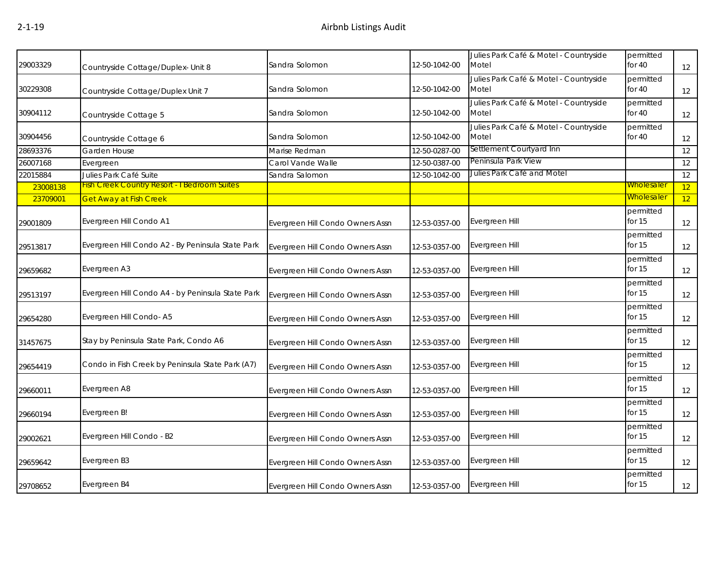| 29003329 | Countryside Cottage/Duplex- Unit 8                  | Sandra Solomon                   | 12-50-1042-00 | Julies Park Café & Motel - Countryside<br>Motel | permitted<br>for $40$ | 12                |
|----------|-----------------------------------------------------|----------------------------------|---------------|-------------------------------------------------|-----------------------|-------------------|
| 30229308 | Countryside Cottage/Duplex Unit 7                   | Sandra Solomon                   | 12-50-1042-00 | Julies Park Café & Motel - Countryside<br>Motel | permitted<br>for $40$ | 12                |
| 30904112 | Countryside Cottage 5                               | Sandra Solomon                   | 12-50-1042-00 | Julies Park Café & Motel - Countryside<br>Motel | permitted<br>for $40$ | $12 \overline{ }$ |
| 30904456 | Countryside Cottage 6                               | Sandra Solomon                   | 12-50-1042-00 | Julies Park Café & Motel - Countryside<br>Motel | permitted<br>for $40$ | 12                |
| 28693376 | Garden House                                        | Marise Redman                    | 12-50-0287-00 | Settlement Courtyard Inn                        |                       | 12                |
| 26007168 | Evergreen                                           | Carol Vande Walle                | 12-50-0387-00 | Peninsula Park View                             |                       | 12                |
| 22015884 | Julies Park Café Suite                              | Sandra Salomon                   | 12-50-1042-00 | Julies Park Café and Motel                      |                       | 12                |
| 23008138 | <b>Fish Creek Country Resort - I Bedroom Suites</b> |                                  |               |                                                 | <b>Wholesaler</b>     | 12                |
| 23709001 | <b>Get Away at Fish Creek</b>                       |                                  |               |                                                 | <b>Wholesaler</b>     | 12                |
| 29001809 | Evergreen Hill Condo A1                             | Evergreen Hill Condo Owners Assn | 12-53-0357-00 | Evergreen Hill                                  | permitted<br>for 15   | 12                |
| 29513817 | Evergreen Hill Condo A2 - By Peninsula State Park   | Evergreen Hill Condo Owners Assn | 12-53-0357-00 | Evergreen Hill                                  | permitted<br>for 15   | 12                |
| 29659682 | Evergreen A3                                        | Evergreen Hill Condo Owners Assn | 12-53-0357-00 | Evergreen Hill                                  | permitted<br>for $15$ | 12                |
| 29513197 | Evergreen Hill Condo A4 - by Peninsula State Park   | Evergreen Hill Condo Owners Assn | 12-53-0357-00 | Evergreen Hill                                  | permitted<br>for $15$ | 12                |
| 29654280 | Evergreen Hill Condo-A5                             | Evergreen Hill Condo Owners Assn | 12-53-0357-00 | Evergreen Hill                                  | permitted<br>for $15$ | 12                |
| 31457675 | Stay by Peninsula State Park, Condo A6              | Evergreen Hill Condo Owners Assn | 12-53-0357-00 | Evergreen Hill                                  | permitted<br>for $15$ | 12                |
| 29654419 | Condo in Fish Creek by Peninsula State Park (A7)    | Evergreen Hill Condo Owners Assn | 12-53-0357-00 | Evergreen Hill                                  | permitted<br>for $15$ | 12                |
| 29660011 | Evergreen A8                                        | Evergreen Hill Condo Owners Assn | 12-53-0357-00 | Evergreen Hill                                  | permitted<br>for $15$ | 12                |
| 29660194 | Evergreen B!                                        | Evergreen Hill Condo Owners Assn | 12-53-0357-00 | Evergreen Hill                                  | permitted<br>for $15$ | 12                |
| 29002621 | Evergreen Hill Condo - B2                           | Evergreen Hill Condo Owners Assn | 12-53-0357-00 | Evergreen Hill                                  | permitted<br>for $15$ | 12                |
| 29659642 | Evergreen B3                                        | Evergreen Hill Condo Owners Assn | 12-53-0357-00 | Evergreen Hill                                  | permitted<br>for $15$ | 12                |
| 29708652 | Evergreen B4                                        | Evergreen Hill Condo Owners Assn | 12-53-0357-00 | Evergreen Hill                                  | permitted<br>for $15$ | 12                |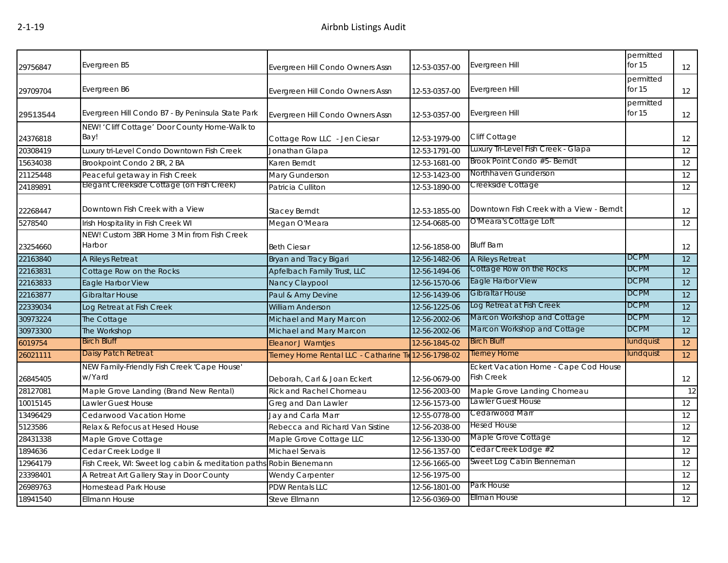| 29756847 | Evergreen B5                                                       | Evergreen Hill Condo Owners Assn                      | 12-53-0357-00 | Evergreen Hill                                             | permitted<br>for 15   | 12 |
|----------|--------------------------------------------------------------------|-------------------------------------------------------|---------------|------------------------------------------------------------|-----------------------|----|
| 29709704 | Evergreen B6                                                       | Evergreen Hill Condo Owners Assn                      | 12-53-0357-00 | Evergreen Hill                                             | permitted<br>for $15$ | 12 |
| 29513544 | Evergreen Hill Condo B7 - By Peninsula State Park                  | Evergreen Hill Condo Owners Assn                      | 12-53-0357-00 | Evergreen Hill                                             | permitted<br>for 15   | 12 |
| 24376818 | NEW! 'Cliff Cottage' Door County Home-Walk to<br>Bay!              | Cottage Row LLC - Jen Ciesar                          | 12-53-1979-00 | <b>Cliff Cottage</b>                                       |                       | 12 |
| 20308419 | Luxury tri-Level Condo Downtown Fish Creek                         | Jonathan Glapa                                        | 12-53-1791-00 | Luxury Tri-Level Fish Creek - Glapa                        |                       | 12 |
| 15634038 | Brookpoint Condo 2 BR, 2 BA                                        | Karen Berndt                                          | 12-53-1681-00 | Brook Point Condo #5- Berndt                               |                       | 12 |
| 21125448 | Peaceful getaway in Fish Creek                                     | Mary Gunderson                                        | 12-53-1423-00 | Northhaven Gunderson                                       |                       | 12 |
| 24189891 | Elegant Creekside Cottage (on Fish Creek)                          | Patricia Culliton                                     | 12-53-1890-00 | Creekside Cottage                                          |                       | 12 |
| 22268447 | Downtown Fish Creek with a View                                    | <b>Stacey Berndt</b>                                  | 12-53-1855-00 | Downtown Fish Creek with a View - Berndt                   |                       | 12 |
| 5278540  | Irish Hospitality in Fish Creek WI                                 | Megan O'Meara                                         | 12-54-0685-00 | O'Meara's Cottage Loft                                     |                       | 12 |
| 23254660 | NEW! Custom 3BR Home 3 Min from Fish Creek<br>Harbor               | <b>Beth Ciesar</b>                                    | 12-56-1858-00 | <b>Bluff Barn</b>                                          |                       | 12 |
| 22163840 | A Rileys Retreat                                                   | Bryan and Tracy Bigari                                | 12-56-1482-06 | <b>A Rileys Retreat</b>                                    | <b>DCPM</b>           | 12 |
| 22163831 | Cottage Row on the Rocks                                           | Apfelbach Family Trust, LLC                           | 12-56-1494-06 | Cottage Row on the Rocks                                   | <b>DCPM</b>           | 12 |
| 22163833 | Eagle Harbor View                                                  | Nancy Claypool                                        | 12-56-1570-06 | Eagle Harbor View                                          | <b>DCPM</b>           | 12 |
| 22163877 | Gibraltar House                                                    | Paul & Amy Devine                                     | 12-56-1439-06 | Gibraltar House                                            | <b>DCPM</b>           | 12 |
| 22339034 | Log Retreat at Fish Creek                                          | <b>William Anderson</b>                               | 12-56-1225-06 | Log Retreat at Fish Creek                                  | <b>DCPM</b>           | 12 |
| 30973224 | The Cottage                                                        | Michael and Mary Marcon                               | 12-56-2002-06 | Marcon Workshop and Cottage                                | <b>DCPM</b>           | 12 |
| 30973300 | The Workshop                                                       | Michael and Mary Marcon                               | 12-56-2002-06 | Marcon Workshop and Cottage                                | <b>DCPM</b>           | 12 |
| 6019754  | <b>Birch Bluff</b>                                                 | Eleanor J Warntjes                                    | 12-56-1845-02 | <b>Birch Bluff</b>                                         | lundquist             | 12 |
| 26021111 | Daisy Patch Retreat                                                | Tierney Home Rental LLC - Catharine Tie 12-56-1798-02 |               | <b>Tierney Home</b>                                        | lundquist             | 12 |
| 26845405 | NEW Family-Friendly Fish Creek 'Cape House'<br>w/Yard              | Deborah, Carl & Joan Eckert                           | 12-56-0679-00 | Eckert Vacation Home - Cape Cod House<br><b>Fish Creek</b> |                       | 12 |
| 28127081 | Maple Grove Landing (Brand New Rental)                             | Rick and Rachel Chomeau                               | 12-56-2003-00 | Maple Grove Landing Chomeau                                |                       | 12 |
| 10015145 | Lawler Guest House                                                 | Greg and Dan Lawler                                   | 12-56-1573-00 | Lawler Guest House                                         |                       | 12 |
| 13496429 | Cedarwood Vacation Home                                            | Jay and Carla Marr                                    | 12-55-0778-00 | Cedarwood Marr                                             |                       | 12 |
| 5123586  | Relax & Refocus at Hesed House                                     | Rebecca and Richard Van Sistine                       | 12-56-2038-00 | <b>Hesed House</b>                                         |                       | 12 |
| 28431338 | Maple Grove Cottage                                                | Maple Grove Cottage LLC                               | 12-56-1330-00 | Maple Grove Cottage                                        |                       | 12 |
| 1894636  | Cedar Creek Lodge II                                               | Michael Servais                                       | 12-56-1357-00 | Cedar Creek Lodge #2                                       |                       | 12 |
| 12964179 | Fish Creek, WI: Sweet log cabin & meditation paths Robin Bienemann |                                                       | 12-56-1665-00 | Sweet Log Cabin Bienneman                                  |                       | 12 |
| 23398401 | A Retreat Art Gallery Stay in Door County                          | Wendy Carpenter                                       | 12-56-1975-00 |                                                            |                       | 12 |
| 26989763 | <b>Homestead Park House</b>                                        | <b>PDW Rentals LLC</b>                                | 12-56-1801-00 | Park House                                                 |                       | 12 |
| 18941540 | Ellmann House                                                      | <b>Steve Ellmann</b>                                  | 12-56-0369-00 | Ellman House                                               |                       | 12 |
|          |                                                                    |                                                       |               |                                                            |                       |    |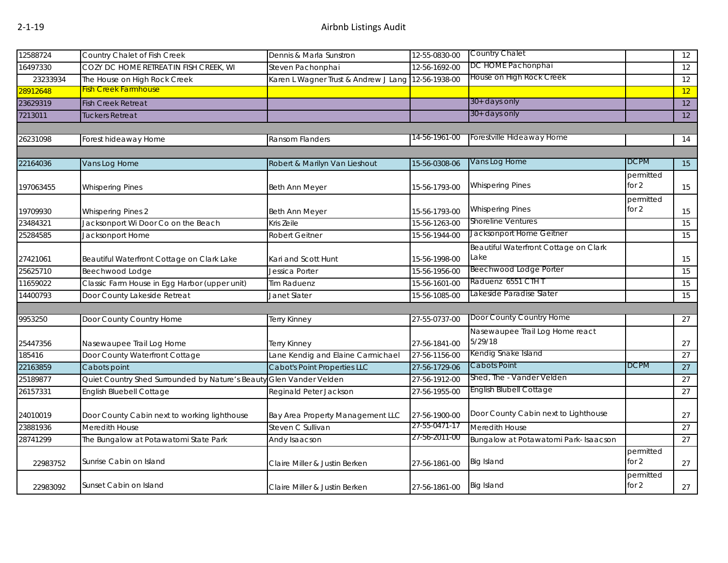| 12588724  | Country Chalet of Fish Creek                                        | Dennis & Marla Sunstron              | 12-55-0830-00 | Country Chalet                        |                      | 12 |
|-----------|---------------------------------------------------------------------|--------------------------------------|---------------|---------------------------------------|----------------------|----|
| 16497330  | COZY DC HOME RETREAT IN FISH CREEK, WI                              | Steven Pachonphai                    | 12-56-1692-00 | DC HOME Pachonphai                    |                      | 12 |
| 23233934  | The House on High Rock Creek                                        | Karen L Wagner Trust & Andrew J Lang | 12-56-1938-00 | House on High Rock Creek              |                      | 12 |
| 28912648  | <b>Fish Creek Farmhouse</b>                                         |                                      |               |                                       |                      | 12 |
| 23629319  | <b>Fish Creek Retreat</b>                                           |                                      |               | $30+$ days only                       |                      | 12 |
| 7213011   | Tuckers Retreat                                                     |                                      |               | 30+ days only                         |                      | 12 |
|           |                                                                     |                                      |               |                                       |                      |    |
| 26231098  | Forest hideaway Home                                                | Ransom Flanders                      | 14-56-1961-00 | Forestville Hideaway Home             |                      | 14 |
|           |                                                                     |                                      |               |                                       |                      |    |
| 22164036  | Vans Log Home                                                       | Robert & Marilyn Van Lieshout        | 15-56-0308-06 | Vans Log Home                         | <b>DCPM</b>          | 15 |
|           |                                                                     |                                      |               |                                       | permitted            |    |
| 197063455 | <b>Whispering Pines</b>                                             | <b>Beth Ann Meyer</b>                | 15-56-1793-00 | <b>Whispering Pines</b>               | for 2                | 15 |
|           |                                                                     |                                      |               |                                       | permitted            |    |
| 19709930  | <b>Whispering Pines 2</b>                                           | Beth Ann Meyer                       | 15-56-1793-00 | <b>Whispering Pines</b>               | for $2$              | 15 |
| 23484321  | Jacksonport Wi Door Co on the Beach                                 | Kris Zeile                           | 15-56-1263-00 | <b>Shoreline Ventures</b>             |                      | 15 |
| 25284585  | Jacksonport Home                                                    | Robert Geitner                       | 15-56-1944-00 | Jacksonport Home Geitner              |                      | 15 |
|           |                                                                     |                                      |               | Beautiful Waterfront Cottage on Clark |                      |    |
| 27421061  | Beautiful Waterfront Cottage on Clark Lake                          | Kari and Scott Hunt                  | 15-56-1998-00 | Lake                                  |                      | 15 |
| 25625710  | Beechwood Lodge                                                     | Jessica Porter                       | 15-56-1956-00 | Beechwood Lodge Porter                |                      | 15 |
| 11659022  | Classic Farm House in Egg Harbor (upper unit)                       | <b>Tim Raduenz</b>                   | 15-56-1601-00 | Raduenz 6551 CTH T                    |                      | 15 |
| 14400793  | Door County Lakeside Retreat                                        | Janet Slater                         | 15-56-1085-00 | Lakeside Paradise Slater              |                      | 15 |
|           |                                                                     |                                      |               |                                       |                      |    |
| 9953250   | Door County Country Home                                            | Terry Kinney                         | 27-55-0737-00 | Door County Country Home              |                      | 27 |
|           |                                                                     |                                      |               | Nasewaupee Trail Log Home react       |                      |    |
| 25447356  | Nasewaupee Trail Log Home                                           | Terry Kinney                         | 27-56-1841-00 | 5/29/18                               |                      | 27 |
| 185416    | Door County Waterfront Cottage                                      | Lane Kendig and Elaine Carmichael    | 27-56-1156-00 | Kendig Snake Island                   |                      | 27 |
| 22163859  | Cabots point                                                        | <b>Cabot's Point Properties LLC</b>  | 27-56-1729-06 | Cabots Point                          | <b>DCPM</b>          | 27 |
| 25189877  | Quiet Country Shed Surrounded by Nature's Beauty Glen Vander Velden |                                      | 27-56-1912-00 | Shed, The - Vander Velden             |                      | 27 |
| 26157331  | English Bluebell Cottage                                            | Reginald Peter Jackson               | 27-56-1955-00 | <b>English Blubell Cottage</b>        |                      | 27 |
|           |                                                                     |                                      |               |                                       |                      |    |
| 24010019  | Door County Cabin next to working lighthouse                        | Bay Area Property Management LLC     | 27-56-1900-00 | Door County Cabin next to Lighthouse  |                      | 27 |
| 23881936  | Meredith House                                                      | Steven C Sullivan                    | 27-55-0471-17 | Meredith House                        |                      | 27 |
| 28741299  | The Bungalow at Potawatomi State Park                               | Andy Isaacson                        | 27-56-2011-00 | Bungalow at Potawatomi Park- Isaacson |                      | 27 |
| 22983752  | Sunrise Cabin on Island                                             | Claire Miller & Justin Berken        | 27-56-1861-00 | <b>Big Island</b>                     | permitted<br>for $2$ | 27 |
| 22983092  | Sunset Cabin on Island                                              | Claire Miller & Justin Berken        | 27-56-1861-00 | <b>Big Island</b>                     | permitted<br>for 2   | 27 |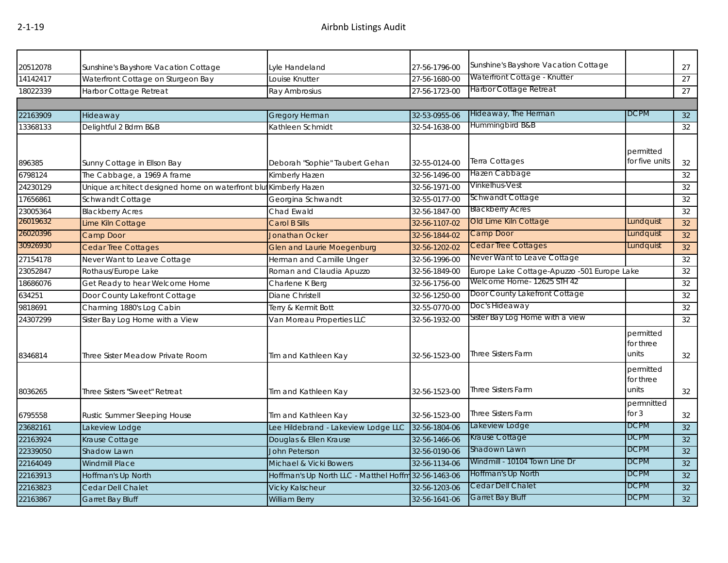| 20512078 | Sunshine's Bayshore Vacation Cottage                            | Lyle Handeland                                       | 27-56-1796-00 | Sunshine's Bayshore Vacation Cottage        |                                 | 27              |
|----------|-----------------------------------------------------------------|------------------------------------------------------|---------------|---------------------------------------------|---------------------------------|-----------------|
| 14142417 | Waterfront Cottage on Sturgeon Bay                              | Louise Knutter                                       | 27-56-1680-00 | Waterfront Cottage - Knutter                |                                 | 27              |
| 18022339 | Harbor Cottage Retreat                                          | Ray Ambrosius                                        | 27-56-1723-00 | Harbor Cottage Retreat                      |                                 | 27              |
|          |                                                                 |                                                      |               |                                             |                                 |                 |
| 22163909 | Hideaway                                                        | Gregory Herman                                       | 32-53-0955-06 | Hideaway, The Herman                        | <b>DCPM</b>                     | 32              |
| 13368133 | Delightful 2 Bdrm B&B                                           | Kathleen Schmidt                                     | 32-54-1638-00 | Hummingbird B&B                             |                                 | 32              |
| 896385   | Sunny Cottage in Ellson Bay                                     | Deborah "Sophie" Taubert Gehan                       | 32-55-0124-00 | <b>Terra Cottages</b>                       | permitted<br>for five units     | 32              |
| 6798124  | The Cabbage, a 1969 A frame                                     | Kimberly Hazen                                       | 32-56-1496-00 | Hazen Cabbage                               |                                 | 32              |
| 24230129 | Unique architect designed home on waterfront blu Kimberly Hazen |                                                      | 32-56-1971-00 | Vinkelhus-Vest                              |                                 | $\overline{32}$ |
| 17656861 | Schwandt Cottage                                                | Georgina Schwandt                                    | 32-55-0177-00 | Schwandt Cottage                            |                                 | $\overline{32}$ |
| 23005364 | <b>Blackberry Acres</b>                                         | Chad Ewald                                           | 32-56-1847-00 | <b>Blackberry Acres</b>                     |                                 | 32              |
| 26019632 | Lime Kiln Cottage                                               | Carol B Sills                                        | 32-56-1107-02 | Old Lime Kiln Cottage                       | Lundquist                       | 32              |
| 26020396 | Camp Door                                                       | <b>Jonathan Ocker</b>                                | 32-56-1844-02 | Camp Door                                   | Lundquist                       | 32              |
| 30926930 | <b>Cedar Tree Cottages</b>                                      | <b>Glen and Laurie Moegenburg</b>                    | 32-56-1202-02 | <b>Cedar Tree Cottages</b>                  | Lundquist                       | 32              |
| 27154178 | Never Want to Leave Cottage                                     | Herman and Camille Unger                             | 32-56-1996-00 | Never Want to Leave Cottage                 |                                 | 32              |
| 23052847 | Rothaus/Europe Lake                                             | Roman and Claudia Apuzzo                             | 32-56-1849-00 | Europe Lake Cottage-Apuzzo -501 Europe Lake |                                 | 32              |
| 18686076 | Get Ready to hear Welcome Home                                  | Charlene K Berg                                      | 32-56-1756-00 | Welcome Home- 12625 STH 42                  |                                 | 32              |
| 634251   | Door County Lakefront Cottage                                   | Diane Christell                                      | 32-56-1250-00 | Door County Lakefront Cottage               |                                 | 32              |
| 9818691  | Charming 1880's Log Cabin                                       | Terry & Kermit Bott                                  | 32-55-0770-00 | Doc's Hideaway                              |                                 | 32              |
| 24307299 | Sister Bay Log Home with a View                                 | Van Moreau Properties LLC                            | 32-56-1932-00 | Sister Bay Log Home with a view             |                                 | 32              |
| 8346814  | Three Sister Meadow Private Room                                | Tim and Kathleen Kay                                 | 32-56-1523-00 | Three Sisters Farm                          | permitted<br>for three<br>units | 32              |
| 8036265  | Three Sisters "Sweet" Retreat                                   | Tim and Kathleen Kay                                 | 32-56-1523-00 | Three Sisters Farm                          | permitted<br>for three<br>units | 32              |
| 6795558  | Rustic Summer Sleeping House                                    | Tim and Kathleen Kay                                 | 32-56-1523-00 | <b>Three Sisters Farm</b>                   | permnitted<br>for $3$           | 32              |
| 23682161 | Lakeview Lodge                                                  | Lee Hildebrand - Lakeview Lodge LLC                  | 32-56-1804-06 | Lakeview Lodge                              | <b>DCPM</b>                     | 32              |
| 22163924 | Krause Cottage                                                  | Douglas & Ellen Krause                               | 32-56-1466-06 | Krause Cottage                              | <b>DCPM</b>                     | 32              |
| 22339050 | Shadow Lawn                                                     | <b>John Peterson</b>                                 | 32-56-0190-06 | Shadown Lawn                                | <b>DCPM</b>                     | 32              |
| 22164049 | <b>Windmill Place</b>                                           | Michael & Vicki Bowers                               | 32-56-1134-06 | Windmill - 10104 Town Line Dr               | <b>DCPM</b>                     | 32              |
| 22163913 | Hoffman's Up North                                              | Hoffman's Up North LLC - Matthel Hoffm 32-56-1463-06 |               | Hoffman's Up North                          | <b>DCPM</b>                     | 32              |
| 22163823 | Cedar Dell Chalet                                               | <b>Vicky Kalscheur</b>                               | 32-56-1203-06 | Cedar Dell Chalet                           | <b>DCPM</b>                     | 32              |
| 22163867 | <b>Garret Bay Bluff</b>                                         | <b>William Berry</b>                                 | 32-56-1641-06 | Garret Bay Bluff                            | <b>DCPM</b>                     | 32              |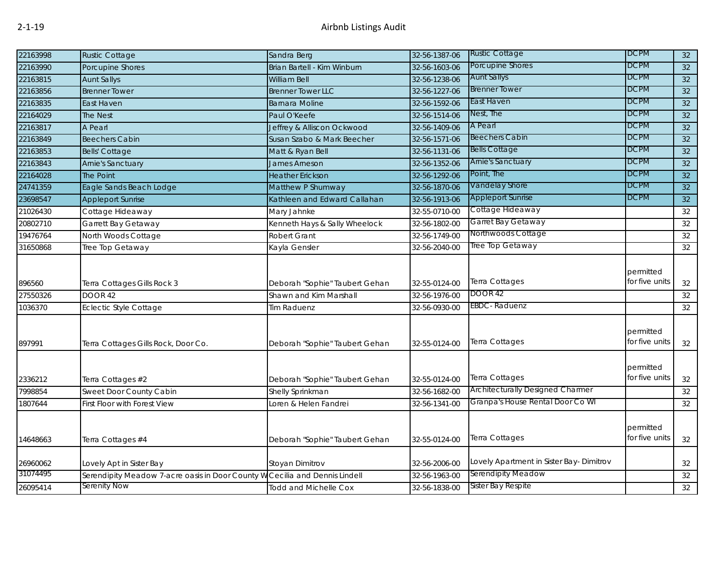| 22163998 | <b>Rustic Cottage</b>                                                       | Sandra Berg                    | 32-56-1387-06 | <b>Rustic Cottage</b>                    | <b>DCPM</b>                 | 32     |
|----------|-----------------------------------------------------------------------------|--------------------------------|---------------|------------------------------------------|-----------------------------|--------|
| 22163990 | Porcupine Shores                                                            | Brian Bartell - Kim Winburn    | 32-56-1603-06 | Porcupine Shores                         | <b>DCPM</b>                 | 32     |
| 22163815 | <b>Aunt Sallys</b>                                                          | <b>William Bell</b>            | 32-56-1238-06 | <b>Aunt Sallys</b>                       | <b>DCPM</b>                 | 32     |
| 22163856 | <b>Brenner Tower</b>                                                        | <b>Brenner Tower LLC</b>       | 32-56-1227-06 | <b>Brenner Tower</b>                     | <b>DCPM</b>                 | 32     |
| 22163835 | East Haven                                                                  | <b>Barnara Moline</b>          | 32-56-1592-06 | East Haven                               | <b>DCPM</b>                 | 32     |
| 22164029 | <b>The Nest</b>                                                             | Paul O'Keefe                   | 32-56-1514-06 | Nest, The                                | <b>DCPM</b>                 | 32     |
| 22163817 | A Pearl                                                                     | Jeffrey & Alliscon Ockwood     | 32-56-1409-06 | A Pearl                                  | <b>DCPM</b>                 | 32     |
| 22163849 | <b>Beechers Cabin</b>                                                       | Susan Szabo & Mark Beecher     | 32-56-1571-06 | <b>Beechers Cabin</b>                    | <b>DCPM</b>                 | 32     |
| 22163853 | <b>Bells' Cottage</b>                                                       | Matt & Ryan Bell               | 32-56-1131-06 | <b>Bells Cottage</b>                     | <b>DCPM</b>                 | 32     |
| 22163843 | <b>Arnie's Sanctuary</b>                                                    | James Arneson                  | 32-56-1352-06 | <b>Arnie's Sanctuary</b>                 | <b>DCPM</b>                 | 32     |
| 22164028 | <b>The Point</b>                                                            | <b>Heather Erickson</b>        | 32-56-1292-06 | Point, The                               | <b>DCPM</b>                 | 32     |
| 24741359 | Eagle Sands Beach Lodge                                                     | Matthew P Shumway              | 32-56-1870-06 | Vandelay Shore                           | <b>DCPM</b>                 | 32     |
| 23698547 | <b>Appleport Sunrise</b>                                                    | Kathleen and Edward Callahan   | 32-56-1913-06 | <b>Appleport Sunrise</b>                 | <b>DCPM</b>                 | $32\,$ |
| 21026430 | Cottage Hideaway                                                            | Mary Jahnke                    | 32-55-0710-00 | Cottage Hideaway                         |                             | 32     |
| 20802710 | Garrett Bay Getaway                                                         | Kenneth Hays & Sally Wheelock  | 32-56-1802-00 | Garret Bay Getaway                       |                             | 32     |
| 19476764 | North Woods Cottage                                                         | Robert Grant                   | 32-56-1749-00 | Northwoods Cottage                       |                             | 32     |
| 31650868 | Tree Top Getaway                                                            | Kayla Gensler                  | 32-56-2040-00 | Tree Top Getaway                         |                             | 32     |
| 896560   | Terra Cottages Gills Rock 3                                                 | Deborah "Sophie" Taubert Gehan | 32-55-0124-00 | Terra Cottages                           | permitted<br>for five units | 32     |
| 27550326 | <b>DOOR 42</b>                                                              | Shawn and Kim Marshall         | 32-56-1976-00 | DOOR 42                                  |                             | 32     |
| 1036370  | <b>Eclectic Style Cottage</b>                                               | Tim Raduenz                    | 32-56-0930-00 | EBDC-Raduenz                             |                             | 32     |
| 897991   | Terra Cottages Gills Rock, Door Co.                                         | Deborah "Sophie" Taubert Gehan | 32-55-0124-00 | Terra Cottages                           | permitted<br>for five units | 32     |
| 2336212  | Terra Cottages #2                                                           | Deborah "Sophie" Taubert Gehan | 32-55-0124-00 | Terra Cottages                           | permitted<br>for five units | 32     |
| 7998854  | Sweet Door County Cabin                                                     | Shelly Sprinkman               | 32-56-1682-00 | <b>Architecturally Designed Charmer</b>  |                             | 32     |
| 1807644  | First Floor with Forest View                                                | Loren & Helen Fandrei          | 32-56-1341-00 | Granpa's House Rental Door Co WI         |                             | 32     |
| 14648663 | Terra Cottages #4                                                           | Deborah "Sophie" Taubert Gehan | 32-55-0124-00 | Terra Cottages                           | permitted<br>for five units | 32     |
| 26960062 | Lovely Apt in Sister Bay                                                    | Stoyan Dimitrov                | 32-56-2006-00 | Lovely Apartment in Sister Bay- Dimitrov |                             | 32     |
| 31074495 | Serendipity Meadow 7-acre oasis in Door County W Cecilia and Dennis Lindell |                                | 32-56-1963-00 | Serendipity Meadow                       |                             | 32     |
| 26095414 | Serenity Now                                                                | <b>Todd and Michelle Cox</b>   | 32-56-1838-00 | Sister Bay Respite                       |                             | 32     |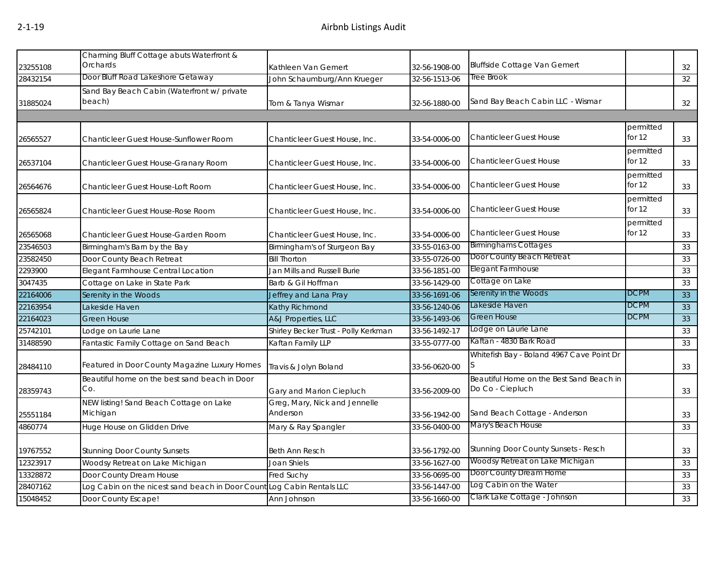| 23255108 | Charming Bluff Cottage abuts Waterfront &<br>Orchards                  | Kathleen Van Gemert                       | 32-56-1908-00 | <b>Bluffside Cottage Van Gemert</b>                          |                       | 32 |
|----------|------------------------------------------------------------------------|-------------------------------------------|---------------|--------------------------------------------------------------|-----------------------|----|
| 28432154 | Door Bluff Road Lakeshore Getaway                                      | John Schaumburg/Ann Krueger               | 32-56-1513-06 | Tree Brook                                                   |                       | 32 |
| 31885024 | Sand Bay Beach Cabin (Waterfront w/ private<br>beach)                  | Tom & Tanya Wismar                        | 32-56-1880-00 | Sand Bay Beach Cabin LLC - Wismar                            |                       | 32 |
|          |                                                                        |                                           |               |                                                              |                       |    |
| 26565527 | Chanticleer Guest House-Sunflower Room                                 | Chanticleer Guest House, Inc.             | 33-54-0006-00 | <b>Chanticleer Guest House</b>                               | permitted<br>for 12   | 33 |
| 26537104 | Chanticleer Guest House-Granary Room                                   | Chanticleer Guest House, Inc.             | 33-54-0006-00 | <b>Chanticleer Guest House</b>                               | permitted<br>for 12   | 33 |
| 26564676 | Chanticleer Guest House-Loft Room                                      | Chanticleer Guest House, Inc.             | 33-54-0006-00 | <b>Chanticleer Guest House</b>                               | permitted<br>for 12   | 33 |
| 26565824 | Chanticleer Guest House-Rose Room                                      | Chanticleer Guest House, Inc.             | 33-54-0006-00 | <b>Chanticleer Guest House</b>                               | permitted<br>for $12$ | 33 |
| 26565068 | Chanticleer Guest House-Garden Room                                    | Chanticleer Guest House, Inc.             | 33-54-0006-00 | <b>Chanticleer Guest House</b>                               | permitted<br>for 12   | 33 |
| 23546503 | Birmingham's Barn by the Bay                                           | Birmingham's of Sturgeon Bay              | 33-55-0163-00 | <b>Birminghams Cottages</b>                                  |                       | 33 |
| 23582450 | Door County Beach Retreat                                              | <b>Bill Thorton</b>                       | 33-55-0726-00 | Door County Beach Retreat                                    |                       | 33 |
| 2293900  | Elegant Farmhouse Central Location                                     | Jan Mills and Russell Burie               | 33-56-1851-00 | Elegant Farmhouse                                            |                       | 33 |
| 3047435  | Cottage on Lake in State Park                                          | Barb & Gil Hoffman                        | 33-56-1429-00 | Cottage on Lake                                              |                       | 33 |
| 22164006 | Serenity in the Woods                                                  | Jeffrey and Lana Pray                     | 33-56-1691-06 | Serenity in the Woods                                        | <b>DCPM</b>           | 33 |
| 22163954 | Lakeside Haven                                                         | <b>Kathy Richmond</b>                     | 33-56-1240-06 | Lakeside Haven                                               | DCPM                  | 33 |
| 22164023 | Green House                                                            | A&J Properties, LLC                       | 33-56-1493-06 | Green House                                                  | DCPM                  | 33 |
| 25742101 | Lodge on Laurie Lane                                                   | Shirley Becker Trust - Polly Kerkman      | 33-56-1492-17 | Lodge on Laurie Lane                                         |                       | 33 |
| 31488590 | Fantastic Family Cottage on Sand Beach                                 | Kaftan Family LLP                         | 33-55-0777-00 | Kaftan - 4830 Bark Road                                      |                       | 33 |
| 28484110 | Featured in Door County Magazine Luxury Homes                          | Travis & Jolyn Boland                     | 33-56-0620-00 | Whitefish Bay - Boland 4967 Cave Point Dr                    |                       | 33 |
| 28359743 | Beautiful home on the best sand beach in Door<br>Co.                   | Gary and Marion Ciepluch                  | 33-56-2009-00 | Beautiful Home on the Best Sand Beach in<br>Do Co - Ciepluch |                       | 33 |
| 25551184 | NEW listing! Sand Beach Cottage on Lake<br>Michigan                    | Greg, Mary, Nick and Jennelle<br>Anderson | 33-56-1942-00 | Sand Beach Cottage - Anderson                                |                       | 33 |
| 4860774  | Huge House on Glidden Drive                                            | Mary & Ray Spangler                       | 33-56-0400-00 | Mary's Beach House                                           |                       | 33 |
| 19767552 | <b>Stunning Door County Sunsets</b>                                    | <b>Beth Ann Resch</b>                     | 33-56-1792-00 | Stunning Door County Sunsets - Resch                         |                       | 33 |
| 12323917 | Woodsy Retreat on Lake Michigan                                        | Joan Shiels                               | 33-56-1627-00 | Woodsy Retreat on Lake Michigan                              |                       | 33 |
| 13328872 | Door County Dream House                                                | Fred Suchy                                | 33-56-0695-00 | Door County Dream Home                                       |                       | 33 |
| 28407162 | Log Cabin on the nicest sand beach in Door Count Log Cabin Rentals LLC |                                           | 33-56-1447-00 | Log Cabin on the Water                                       |                       | 33 |
| 15048452 | Door County Escape!                                                    | Ann Johnson                               | 33-56-1660-00 | Clark Lake Cottage - Johnson                                 |                       | 33 |
|          |                                                                        |                                           |               |                                                              |                       |    |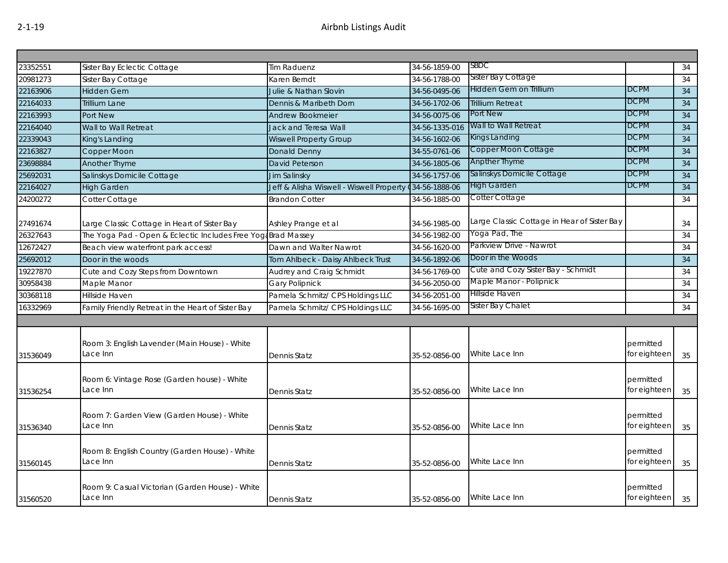| 23352551 | Sister Bay Eclectic Cottage                                 | <b>Tim Raduenz</b>                                      | 34-56-1859-00  | SBDC                                        |                           | 34 |
|----------|-------------------------------------------------------------|---------------------------------------------------------|----------------|---------------------------------------------|---------------------------|----|
| 20981273 | Sister Bay Cottage                                          | Karen Berndt                                            | 34-56-1788-00  | Sister Bay Cottage                          |                           | 34 |
| 22163906 | <b>Hidden Gem</b>                                           | Julie & Nathan Slovin                                   | 34-56-0495-06  | Hidden Gem on Trillium                      | <b>DCPM</b>               | 34 |
| 22164033 | <b>Trillium Lane</b>                                        | Dennis & Maribeth Dorn                                  | 34-56-1702-06  | <b>Trillium Retreat</b>                     | <b>DCPM</b>               | 34 |
| 22163993 | <b>Port New</b>                                             | Andrew Bookmeier                                        | 34-56-0075-06  | Port New                                    | <b>DCPM</b>               | 34 |
| 22164040 | Wall to Wall Retreat                                        | Jack and Teresa Wall                                    | 34-56-1335-016 | Wall to Wall Retreat                        | <b>DCPM</b>               | 34 |
| 22339043 | King's Landing                                              | <b>Wiswell Property Group</b>                           | 34-56-1602-06  | Kings Landing                               | <b>DCPM</b>               | 34 |
| 22163827 | Copper Moon                                                 | <b>Donald Denny</b>                                     | 34-55-0761-06  | Copper Moon Cottage                         | <b>DCPM</b>               | 34 |
| 23698884 | Another Thyme                                               | <b>David Peterson</b>                                   | 34-56-1805-06  | <b>Anpther Thyme</b>                        | DCPM                      | 34 |
| 25692031 | Salinskys Domicile Cottage                                  | Jim Salinsky                                            | 34-56-1757-06  | Salinskys Domicile Cottage                  | <b>DCPM</b>               | 34 |
| 22164027 | <b>High Garden</b>                                          | Jeff & Alisha Wiswell - Wiswell Property (34-56-1888-06 |                | <b>High Garden</b>                          | DCPM                      | 34 |
| 24200272 | Cotter Cottage                                              | <b>Brandon Cotter</b>                                   | 34-56-1885-00  | Cotter Cottage                              |                           | 34 |
| 27491674 | Large Classic Cottage in Heart of Sister Bay                | Ashley Prange et al                                     | 34-56-1985-00  | Large Classic Cottage in Hear of Sister Bay |                           | 34 |
| 26327643 | The Yoga Pad - Open & Eclectic Includes Free Yog            | <b>Brad Massey</b>                                      | 34-56-1982-00  | Yoqa Pad, The                               |                           | 34 |
| 12672427 | Beach view waterfront park access!                          | Dawn and Walter Nawrot                                  | 34-56-1620-00  | Parkview Drive - Nawrot                     |                           | 34 |
| 25692012 | Door in the woods                                           | Tom Ahlbeck - Daisy Ahlbeck Trust                       | 34-56-1892-06  | Door in the Woods                           |                           | 34 |
| 19227870 | Cute and Cozy Steps from Downtown                           | Audrey and Craig Schmidt                                | 34-56-1769-00  | Cute and Cozy Sister Bay - Schmidt          |                           | 34 |
| 30958438 | Maple Manor                                                 | <b>Gary Polipnick</b>                                   | 34-56-2050-00  | Maple Manor - Polipnick                     |                           | 34 |
| 30368118 | Hillside Haven                                              | Pamela Schmitz/ CPS Holdings LLC                        | 34-56-2051-00  | Hillside Haven                              |                           | 34 |
| 16332969 | Family Friendly Retreat in the Heart of Sister Bay          | Pamela Schmitz/ CPS Holdings LLC                        | 34-56-1695-00  | Sister Bay Chalet                           |                           | 34 |
|          |                                                             |                                                         |                |                                             |                           |    |
| 31536049 | Room 3: English Lavender (Main House) - White<br>Lace Inn   | <b>Dennis Statz</b>                                     | 35-52-0856-00  | White Lace Inn                              | permitted<br>for eighteen | 35 |
| 31536254 | Room 6: Vintage Rose (Garden house) - White<br>Lace Inn     | Dennis Statz                                            | 35-52-0856-00  | White Lace Inn                              | permitted<br>for eighteen | 35 |
| 31536340 | Room 7: Garden View (Garden House) - White<br>Lace Inn      | Dennis Statz                                            | 35-52-0856-00  | White Lace Inn                              | permitted<br>for eighteen | 35 |
| 31560145 | Room 8: English Country (Garden House) - White<br>Lace Inn  | <b>Dennis Statz</b>                                     | 35-52-0856-00  | White Lace Inn                              | permitted<br>for eighteen | 35 |
| 31560520 | Room 9: Casual Victorian (Garden House) - White<br>Lace Inn | <b>Dennis Statz</b>                                     | 35-52-0856-00  | White Lace Inn                              | permitted<br>for eighteen | 35 |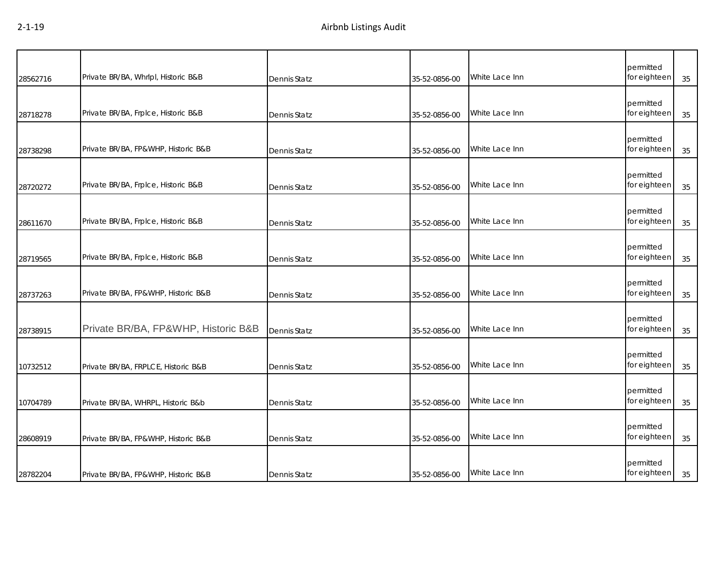| 28562716 | Private BR/BA, Whrlpl, Historic B&B | Dennis Statz        | 35-52-0856-00 | White Lace Inn | permitted<br>for eighteen | 35 |
|----------|-------------------------------------|---------------------|---------------|----------------|---------------------------|----|
| 28718278 | Private BR/BA, Frplce, Historic B&B | Dennis Statz        | 35-52-0856-00 | White Lace Inn | permitted<br>for eighteen | 35 |
| 28738298 | Private BR/BA, FP&WHP, Historic B&B | Dennis Statz        | 35-52-0856-00 | White Lace Inn | permitted<br>for eighteen | 35 |
| 28720272 | Private BR/BA, Frplce, Historic B&B | Dennis Statz        | 35-52-0856-00 | White Lace Inn | permitted<br>for eighteen | 35 |
| 28611670 | Private BR/BA, Frplce, Historic B&B | Dennis Statz        | 35-52-0856-00 | White Lace Inn | permitted<br>for eighteen | 35 |
| 28719565 | Private BR/BA, Frplce, Historic B&B | Dennis Statz        | 35-52-0856-00 | White Lace Inn | permitted<br>for eighteen | 35 |
| 28737263 | Private BR/BA, FP&WHP, Historic B&B | Dennis Statz        | 35-52-0856-00 | White Lace Inn | permitted<br>for eighteen | 35 |
| 28738915 | Private BR/BA, FP&WHP, Historic B&B | Dennis Statz        | 35-52-0856-00 | White Lace Inn | permitted<br>for eighteen | 35 |
| 10732512 | Private BR/BA, FRPLCE, Historic B&B | Dennis Statz        | 35-52-0856-00 | White Lace Inn | permitted<br>for eighteen | 35 |
| 10704789 | Private BR/BA, WHRPL, Historic B&b  | Dennis Statz        | 35-52-0856-00 | White Lace Inn | permitted<br>for eighteen | 35 |
| 28608919 | Private BR/BA, FP&WHP, Historic B&B | Dennis Statz        | 35-52-0856-00 | White Lace Inn | permitted<br>for eighteen | 35 |
| 28782204 | Private BR/BA, FP&WHP, Historic B&B | <b>Dennis Statz</b> | 35-52-0856-00 | White Lace Inn | permitted<br>for eighteen | 35 |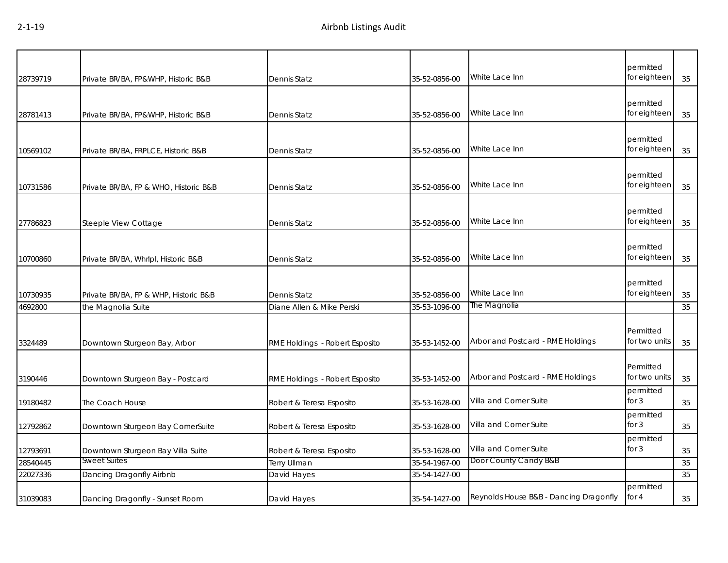| 28739719 | Private BR/BA, FP&WHP, Historic B&B   | Dennis Statz                   | 35-52-0856-00 | White Lace Inn                         | permitted<br>for eighteen  | 35     |
|----------|---------------------------------------|--------------------------------|---------------|----------------------------------------|----------------------------|--------|
| 28781413 | Private BR/BA, FP&WHP, Historic B&B   | Dennis Statz                   | 35-52-0856-00 | White Lace Inn                         | permitted<br>for eighteen  | 35     |
| 10569102 | Private BR/BA, FRPLCE, Historic B&B   | Dennis Statz                   | 35-52-0856-00 | White Lace Inn                         | permitted<br>for eighteen  | 35     |
| 10731586 | Private BR/BA, FP & WHO, Historic B&B | Dennis Statz                   | 35-52-0856-00 | White Lace Inn                         | permitted<br>for eighteen  | 35     |
| 27786823 | Steeple View Cottage                  | Dennis Statz                   | 35-52-0856-00 | White Lace Inn                         | permitted<br>for eighteen  | 35     |
| 10700860 | Private BR/BA, Whrlpl, Historic B&B   | Dennis Statz                   | 35-52-0856-00 | White Lace Inn                         | permitted<br>for eighteen  | 35     |
| 10730935 | Private BR/BA, FP & WHP, Historic B&B | Dennis Statz                   | 35-52-0856-00 | White Lace Inn                         | permitted<br>for eighteen  | 35     |
| 4692800  | the Magnolia Suite                    | Diane Allen & Mike Perski      | 35-53-1096-00 | The Magnolia                           |                            | 35     |
| 3324489  | Downtown Sturgeon Bay, Arbor          | RME Holdings - Robert Esposito | 35-53-1452-00 | Arbor and Postcard - RME Holdings      | Permitted<br>for two units | 35     |
| 3190446  | Downtown Sturgeon Bay - Postcard      | RME Holdings - Robert Esposito | 35-53-1452-00 | Arbor and Postcard - RME Holdings      | Permitted<br>for two units | 35     |
| 19180482 | The Coach House                       | Robert & Teresa Esposito       | 35-53-1628-00 | Villa and Corner Suite                 | permitted<br>for $3$       | 35     |
| 12792862 | Downtown Sturgeon Bay CornerSuite     | Robert & Teresa Esposito       | 35-53-1628-00 | Villa and Corner Suite                 | permitted<br>for 3         | 35     |
| 12793691 | Downtown Sturgeon Bay Villa Suite     | Robert & Teresa Esposito       | 35-53-1628-00 | Villa and Corner Suite                 | permitted<br>for $3$       | $35\,$ |
| 28540445 | Sweet Suites                          | <b>Terry Ullman</b>            | 35-54-1967-00 | Door County Candy B&B                  |                            | 35     |
| 22027336 | Dancing Dragonfly Airbnb              | David Hayes                    | 35-54-1427-00 |                                        |                            | 35     |
| 31039083 | Dancing Dragonfly - Sunset Room       | David Hayes                    | 35-54-1427-00 | Reynolds House B&B - Dancing Dragonfly | permitted<br>for 4         | 35     |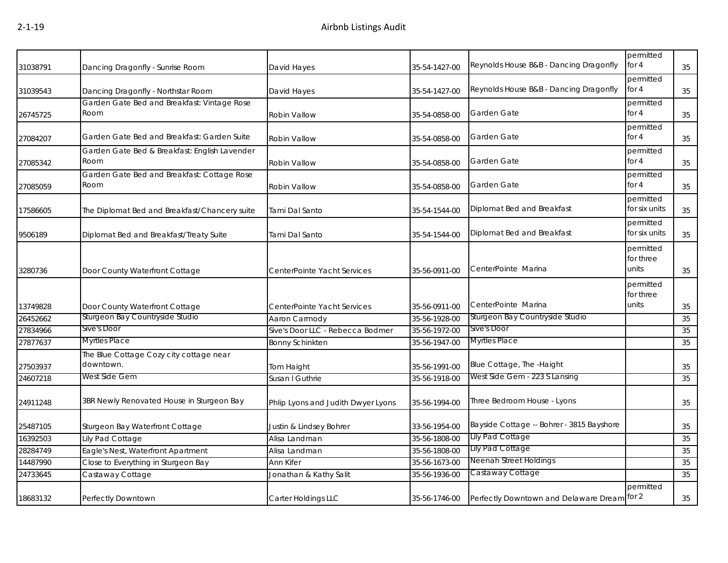| 31038791 | Dancing Dragonfly - Sunrise Room                      | David Hayes                        | 35-54-1427-00 | Reynolds House B&B - Dancing Dragonfly      | permitted<br>for $4$            | 35 |
|----------|-------------------------------------------------------|------------------------------------|---------------|---------------------------------------------|---------------------------------|----|
| 31039543 | Dancing Dragonfly - Northstar Room                    | David Hayes                        | 35-54-1427-00 | Reynolds House B&B - Dancing Dragonfly      | permitted<br>for $4$            | 35 |
| 26745725 | Garden Gate Bed and Breakfast: Vintage Rose<br>Room   | Robin Vallow                       | 35-54-0858-00 | Garden Gate                                 | permitted<br>for $4$            | 35 |
| 27084207 | Garden Gate Bed and Breakfast: Garden Suite           | Robin Vallow                       | 35-54-0858-00 | Garden Gate                                 | permitted<br>for 4              | 35 |
| 27085342 | Garden Gate Bed & Breakfast: English Lavender<br>Room | Robin Vallow                       | 35-54-0858-00 | Garden Gate                                 | permitted<br>for 4              | 35 |
| 27085059 | Garden Gate Bed and Breakfast: Cottage Rose<br>Room   | Robin Vallow                       | 35-54-0858-00 | Garden Gate                                 | permitted<br>for $4$            | 35 |
| 17586605 | The Diplomat Bed and Breakfast/Chancery suite         | Tami Dal Santo                     | 35-54-1544-00 | Diplomat Bed and Breakfast                  | permitted<br>for six units      | 35 |
| 9506189  | Diplomat Bed and Breakfast/Treaty Suite               | Tami Dal Santo                     | 35-54-1544-00 | Diplomat Bed and Breakfast                  | permitted<br>for six units      | 35 |
| 3280736  | Door County Waterfront Cottage                        | CenterPointe Yacht Services        | 35-56-0911-00 | CenterPointe Marina                         | permitted<br>for three<br>units | 35 |
|          |                                                       |                                    |               |                                             | permitted<br>for three          |    |
| 13749828 | Door County Waterfront Cottage                        | CenterPointe Yacht Services        | 35-56-0911-00 | CenterPointe Marina                         | units                           | 35 |
| 26452662 | Sturgeon Bay Countryside Studio                       | Aaron Carmody                      | 35-56-1928-00 | Sturgeon Bay Countryside Studio             |                                 | 35 |
| 27834966 | Sive's Door                                           | Sive's Door LLC - Rebecca Bodmer   | 35-56-1972-00 | Sive's Door                                 |                                 | 35 |
| 27877637 | <b>Myrtles Place</b>                                  | <b>Bonny Schinkten</b>             | 35-56-1947-00 | Myrtles Place                               |                                 | 35 |
| 27503937 | The Blue Cottage Cozy city cottage near<br>downtown.  | Tom Haight                         | 35-56-1991-00 | Blue Cottage, The -Haight                   |                                 | 35 |
| 24607218 | West Side Gem                                         | Susan I Guthrie                    | 35-56-1918-00 | West Side Gem - 223 S Lansing               |                                 | 35 |
| 24911248 | 3BR Newly Renovated House in Sturgeon Bay             | Phlip Lyons and Judith Dwyer Lyons | 35-56-1994-00 | Three Bedroom House - Lyons                 |                                 | 35 |
| 25487105 | Sturgeon Bay Waterfront Cottage                       | Justin & Lindsey Bohrer            | 33-56-1954-00 | Bayside Cottage -- Bohrer - 3815 Bayshore   |                                 | 35 |
| 16392503 | Lily Pad Cottage                                      | Alisa Landman                      | 35-56-1808-00 | Lily Pad Cottage                            |                                 | 35 |
| 28284749 | Eagle's Nest, Waterfront Apartment                    | Alisa Landman                      | 35-56-1808-00 | Lily Pad Cottage                            |                                 | 35 |
| 14487990 | Close to Everything in Sturgeon Bay                   | Ann Kifer                          | 35-56-1673-00 | Neenah Street Holdings                      |                                 | 35 |
| 24733645 | Castaway Cottage                                      | Jonathan & Kathy Salit             | 35-56-1936-00 | Castaway Cottage                            |                                 | 35 |
| 18683132 | Perfectly Downtown                                    | Carter Holdings LLC                | 35-56-1746-00 | Perfectly Downtown and Delaware Dream for 2 | permitted                       | 35 |
|          |                                                       |                                    |               |                                             |                                 |    |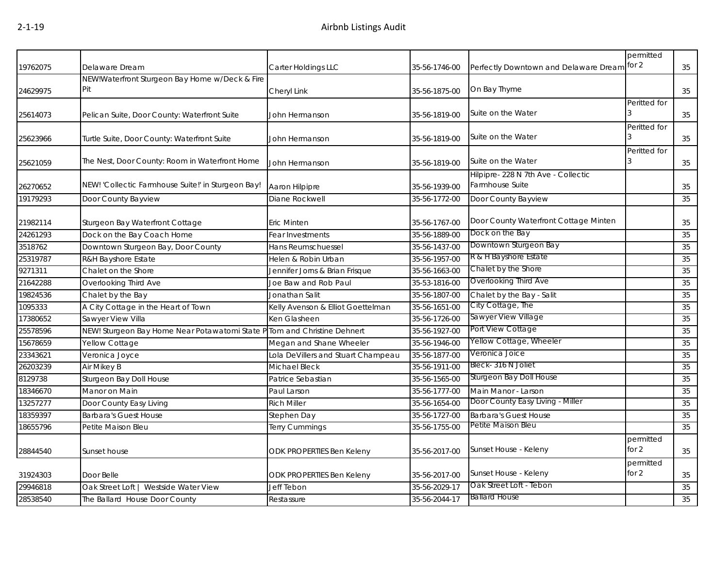|          |                                                                          |                                    |               |                                                       | permitted            |        |
|----------|--------------------------------------------------------------------------|------------------------------------|---------------|-------------------------------------------------------|----------------------|--------|
| 19762075 | Delaware Dream<br>NEW!Waterfront Sturgeon Bay Home w/Deck & Fire         | Carter Holdings LLC                | 35-56-1746-00 | Perfectly Downtown and Delaware Dream for 2           |                      | 35     |
| 24629975 | Pit                                                                      | Cheryl Link                        | 35-56-1875-00 | On Bay Thyme                                          |                      | 35     |
| 25614073 | Pelican Suite, Door County: Waterfront Suite                             | John Hermanson                     | 35-56-1819-00 | Suite on the Water                                    | Peritted for         | 35     |
| 25623966 | Turtle Suite, Door County: Waterfront Suite                              | John Hermanson                     | 35-56-1819-00 | Suite on the Water                                    | Peritted for         | 35     |
| 25621059 | The Nest, Door County: Room in Waterfront Home                           | John Hermanson                     | 35-56-1819-00 | Suite on the Water                                    | Peritted for         | 35     |
| 26270652 | NEW! 'Collectic Farmhouse Suite!' in Sturgeon Bay!                       | Aaron Hilpipre                     | 35-56-1939-00 | Hilpipre-228 N 7th Ave - Collectic<br>Farmhouse Suite |                      | 35     |
| 19179293 | Door County Bayview                                                      | Diane Rockwell                     | 35-56-1772-00 | Door County Bayview                                   |                      | 35     |
| 21982114 | Sturgeon Bay Waterfront Cottage                                          | <b>Eric Minten</b>                 | 35-56-1767-00 | Door County Waterfront Cottage Minten                 |                      | 35     |
| 24261293 | Dock on the Bay Coach Home                                               | Fear Investments                   | 35-56-1889-00 | Dock on the Bay                                       |                      | 35     |
| 3518762  | Downtown Sturgeon Bay, Door County                                       | Hans Reumschuessel                 | 35-56-1437-00 | Downtown Sturgeon Bay                                 |                      | 35     |
| 25319787 | R&H Bayshore Estate                                                      | Helen & Robin Urban                | 35-56-1957-00 | R & H Bayshore Estate                                 |                      | 35     |
| 9271311  | Chalet on the Shore                                                      | Jennifer Jorns & Brian Frisque     | 35-56-1663-00 | Chalet by the Shore                                   |                      | 35     |
| 21642288 | Overlooking Third Ave                                                    | Joe Baw and Rob Paul               | 35-53-1816-00 | Overlooking Third Ave                                 |                      | 35     |
| 19824536 | Chalet by the Bay                                                        | Jonathan Salit                     | 35-56-1807-00 | Chalet by the Bay - Salit                             |                      | 35     |
| 1095333  | A City Cottage in the Heart of Town                                      | Kelly Avenson & Elliot Goettelman  | 35-56-1651-00 | City Cottage, The                                     |                      | 35     |
| 17380652 | Sawyer View Villa                                                        | Ken Glasheen                       | 35-56-1726-00 | Sawyer View Village                                   |                      | 35     |
| 25578596 | NEW! Sturgeon Bay Home Near Potawatomi State P Tom and Christine Dehnert |                                    | 35-56-1927-00 | Port View Cottage                                     |                      | 35     |
| 15678659 | Yellow Cottage                                                           | Megan and Shane Wheeler            | 35-56-1946-00 | Yellow Cottage, Wheeler                               |                      | 35     |
| 23343621 | Veronica Joyce                                                           | Lola DeVillers and Stuart Champeau | 35-56-1877-00 | Veronica Joice                                        |                      | 35     |
| 26203239 | Air Mikey B                                                              | Michael Bleck                      | 35-56-1911-00 | Bleck- 316 N Joliet                                   |                      | 35     |
| 8129738  | Sturgeon Bay Doll House                                                  | Patrice Sebastian                  | 35-56-1565-00 | Sturgeon Bay Doll House                               |                      | 35     |
| 18346670 | Manor on Main                                                            | Paul Larson                        | 35-56-1777-00 | Main Manor - Larson                                   |                      | 35     |
| 13257277 | Door County Easy Living                                                  | <b>Rich Miller</b>                 | 35-56-1654-00 | Door County Easy Living - Miller                      |                      | 35     |
| 18359397 | <b>Barbara's Guest House</b>                                             | Stephen Day                        | 35-56-1727-00 | <b>Barbara's Guest House</b>                          |                      | 35     |
| 18655796 | Petite Maison Bleu                                                       | <b>Terry Cummings</b>              | 35-56-1755-00 | Petite Maison Bleu                                    |                      | 35     |
| 28844540 | Sunset house                                                             | <b>ODK PROPERTIES Ben Keleny</b>   | 35-56-2017-00 | Sunset House - Keleny                                 | permitted<br>for $2$ | 35     |
| 31924303 | Door Belle                                                               | ODK PROPERTIES Ben Keleny          | 35-56-2017-00 | Sunset House - Keleny                                 | permitted<br>for 2   | $35\,$ |
| 29946818 | Oak Street Loft   Westside Water View                                    | Jeff Tebon                         | 35-56-2029-17 | Oak Street Loft - Tebon                               |                      | 35     |
| 28538540 | The Ballard House Door County                                            | Restassure                         | 35-56-2044-17 | <b>Ballard House</b>                                  |                      | 35     |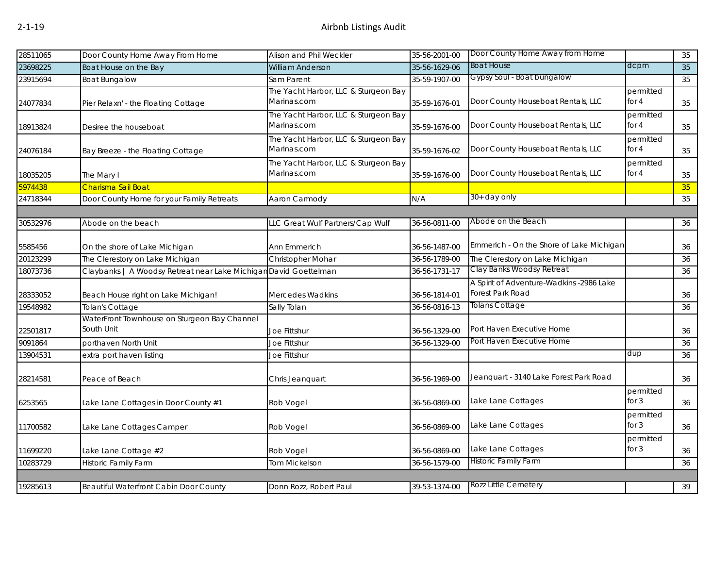| 28511065 | Door County Home Away From Home                                  | Alison and Phil Weckler                             | 35-56-2001-00 | Door County Home Away from Home                              |                      | 35     |
|----------|------------------------------------------------------------------|-----------------------------------------------------|---------------|--------------------------------------------------------------|----------------------|--------|
| 23698225 | Boat House on the Bay                                            | <b>William Anderson</b>                             | 35-56-1629-06 | <b>Boat House</b>                                            | dcpm                 | 35     |
| 23915694 | <b>Boat Bungalow</b>                                             | Sam Parent                                          | 35-59-1907-00 | Gypsy Soul - Boat bungalow                                   |                      | 35     |
| 24077834 | Pier Relaxn' - the Floating Cottage                              | The Yacht Harbor, LLC & Sturgeon Bay<br>Marinas.com | 35-59-1676-01 | Door County Houseboat Rentals, LLC                           | permitted<br>for $4$ | 35     |
| 18913824 | Desiree the houseboat                                            | The Yacht Harbor, LLC & Sturgeon Bay<br>Marinas.com | 35-59-1676-00 | Door County Houseboat Rentals, LLC                           | permitted<br>for 4   | 35     |
| 24076184 | Bay Breeze - the Floating Cottage                                | The Yacht Harbor, LLC & Sturgeon Bay<br>Marinas.com | 35-59-1676-02 | Door County Houseboat Rentals, LLC                           | permitted<br>for 4   | $35\,$ |
| 18035205 | The Mary I                                                       | The Yacht Harbor, LLC & Sturgeon Bay<br>Marinas.com | 35-59-1676-00 | Door County Houseboat Rentals, LLC                           | permitted<br>for 4   | 35     |
| 5974438  | Charisma Sail Boat                                               |                                                     |               |                                                              |                      | 35     |
| 24718344 | Door County Home for your Family Retreats                        | Aaron Carmody                                       | N/A           | 30+ day only                                                 |                      | 35     |
|          |                                                                  |                                                     |               |                                                              |                      |        |
| 30532976 | Abode on the beach                                               | LLC Great Wulf Partners/Cap Wulf                    | 36-56-0811-00 | Abode on the Beach                                           |                      | 36     |
| 5585456  | On the shore of Lake Michigan                                    | Ann Emmerich                                        | 36-56-1487-00 | Emmerich - On the Shore of Lake Michigan                     |                      | 36     |
| 20123299 | The Clerestory on Lake Michigan                                  | Christopher Mohar                                   | 36-56-1789-00 | The Clerestory on Lake Michigan                              |                      | 36     |
| 18073736 | Claybanks   A Woodsy Retreat near Lake Michigan David Goettelman |                                                     | 36-56-1731-17 | Clay Banks Woodsy Retreat                                    |                      | 36     |
| 28333052 | Beach House right on Lake Michigan!                              | <b>Mercedes Wadkins</b>                             | 36-56-1814-01 | A Spirit of Adventure-Wadkins -2986 Lake<br>Forest Park Road |                      | 36     |
| 19548982 | <b>Tolan's Cottage</b>                                           | Sally Tolan                                         | 36-56-0816-13 | <b>Tolans Cottage</b>                                        |                      | 36     |
| 22501817 | WaterFront Townhouse on Sturgeon Bay Channel<br>South Unit       | Joe Fittshur                                        | 36-56-1329-00 | Port Haven Executive Home                                    |                      | 36     |
| 9091864  | porthaven North Unit                                             | Joe Fittshur                                        | 36-56-1329-00 | Port Haven Executive Home                                    |                      | 36     |
| 13904531 | extra port haven listing                                         | Joe Fittshur                                        |               |                                                              | dup                  | 36     |
| 28214581 | Peace of Beach                                                   | Chris Jeanquart                                     | 36-56-1969-00 | Jeanquart - 3140 Lake Forest Park Road                       |                      | 36     |
| 6253565  | Lake Lane Cottages in Door County #1                             | Rob Vogel                                           | 36-56-0869-00 | Lake Lane Cottages                                           | permitted<br>for $3$ | 36     |
| 11700582 | Lake Lane Cottages Camper                                        | Rob Vogel                                           | 36-56-0869-00 | Lake Lane Cottages                                           | permitted<br>for $3$ | 36     |
| 11699220 | Lake Lane Cottage #2                                             | Rob Vogel                                           | 36-56-0869-00 | Lake Lane Cottages                                           | permitted<br>for $3$ | 36     |
| 10283729 | Historic Family Farm                                             | <b>Tom Mickelson</b>                                | 36-56-1579-00 | Historic Family Farm                                         |                      | 36     |
|          |                                                                  |                                                     |               |                                                              |                      |        |
| 19285613 | Beautiful Waterfront Cabin Door County                           | Donn Rozz, Robert Paul                              | 39-53-1374-00 | <b>Rozz Little Cemetery</b>                                  |                      | 39     |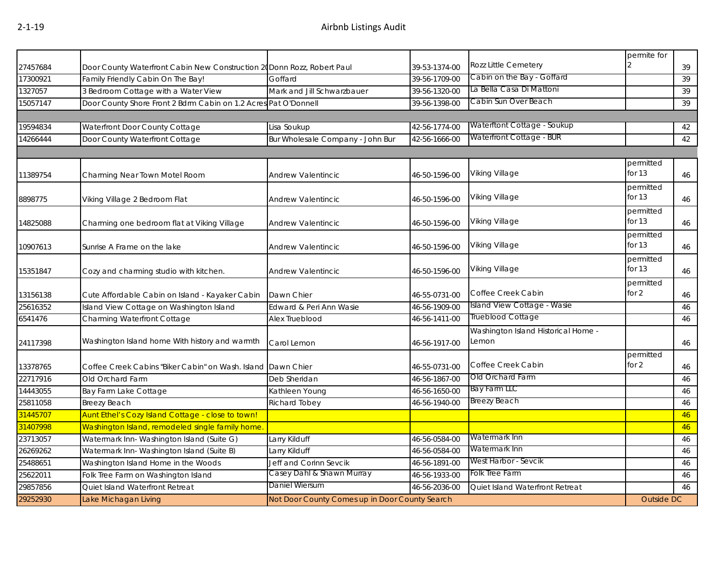|          |                                                                         |                                                |               |                                              | permite for           |    |
|----------|-------------------------------------------------------------------------|------------------------------------------------|---------------|----------------------------------------------|-----------------------|----|
| 27457684 | Door County Waterfront Cabin New Construction 20 Donn Rozz, Robert Paul |                                                | 39-53-1374-00 | <b>Rozz Little Cemetery</b>                  |                       | 39 |
| 17300921 | Family Friendly Cabin On The Bay!                                       | Goffard                                        | 39-56-1709-00 | Cabin on the Bay - Goffard                   |                       | 39 |
| 1327057  | 3 Bedroom Cottage with a Water View                                     | Mark and Jill Schwarzbauer                     | 39-56-1320-00 | La Bella Casa Di Mattoni                     |                       | 39 |
| 15057147 | Door County Shore Front 2 Bdrm Cabin on 1.2 Acres Pat O'Donnell         |                                                | 39-56-1398-00 | Cabin Sun Over Beach                         |                       | 39 |
|          |                                                                         |                                                |               |                                              |                       |    |
| 19594834 | Waterfront Door County Cottage                                          | Lisa Soukup                                    | 42-56-1774-00 | Waterftont Cottage - Soukup                  |                       | 42 |
| 14266444 | Door County Waterfront Cottage                                          | Bur Wholesale Company - John Bur               | 42-56-1666-00 | Waterfront Cottage - BUR                     |                       | 42 |
|          |                                                                         |                                                |               |                                              |                       |    |
| 11389754 | Charming Near Town Motel Room                                           | <b>Andrew Valentincic</b>                      | 46-50-1596-00 | Viking Village                               | permitted<br>for $13$ | 46 |
| 8898775  | Viking Village 2 Bedroom Flat                                           | Andrew Valentincic                             | 46-50-1596-00 | Viking Village                               | permitted<br>for $13$ | 46 |
| 14825088 | Charming one bedroom flat at Viking Village                             | <b>Andrew Valentincic</b>                      | 46-50-1596-00 | Viking Village                               | permitted<br>for $13$ | 46 |
| 10907613 | Sunrise A Frame on the lake                                             | <b>Andrew Valentincic</b>                      | 46-50-1596-00 | Viking Village                               | permitted<br>for $13$ | 46 |
| 15351847 | Cozy and charming studio with kitchen.                                  | <b>Andrew Valentincic</b>                      | 46-50-1596-00 | Viking Village                               | permitted<br>for $13$ | 46 |
| 13156138 | Cute Affordable Cabin on Island - Kayaker Cabin                         | Dawn Chier                                     | 46-55-0731-00 | Coffee Creek Cabin                           | permitted<br>for 2    | 46 |
| 25616352 | Island View Cottage on Washington Island                                | Edward & Peri Ann Wasie                        | 46-56-1909-00 | Island View Cottage - Wasie                  |                       | 46 |
| 6541476  | Charming Waterfront Cottage                                             | Alex Trueblood                                 | 46-56-1411-00 | Trueblood Cottage                            |                       | 46 |
| 24117398 | Washington Island home With history and warmth                          | Carol Lemon                                    | 46-56-1917-00 | Washington Island Historical Home -<br>Lemon |                       | 46 |
| 13378765 | Coffee Creek Cabins "Biker Cabin" on Wash. Island Dawn Chier            |                                                | 46-55-0731-00 | Coffee Creek Cabin                           | permitted<br>for $2$  | 46 |
| 22717916 | Old Orchard Farm                                                        | Deb Sheridan                                   | 46-56-1867-00 | Old Orchard Farm                             |                       | 46 |
| 14443055 | Bay Farm Lake Cottage                                                   | Kathleen Young                                 | 46-56-1650-00 | Bay Farm LLC                                 |                       | 46 |
| 25811058 | <b>Breezy Beach</b>                                                     | Richard Tobey                                  | 46-56-1940-00 | <b>Breezy Beach</b>                          |                       | 46 |
| 31445707 | Aunt Ethel's Cozy Island Cottage - close to town!                       |                                                |               |                                              |                       | 46 |
| 31407998 | Washington Island, remodeled single family home.                        |                                                |               |                                              |                       | 46 |
| 23713057 | Watermark Inn- Washington Island (Suite G)                              | Larry Kilduff                                  | 46-56-0584-00 | Watermark Inn                                |                       | 46 |
| 26269262 | Watermark Inn- Washington Island (Suite B)                              | Larry Kilduff                                  | 46-56-0584-00 | Watermark Inn                                |                       | 46 |
| 25488651 | Washington Island Home in the Woods                                     | Jeff and Corinn Sevcik                         | 46-56-1891-00 | West Harbor - Sevcik                         |                       | 46 |
| 25622011 | Folk Tree Farm on Washington Island                                     | Casey Dahl & Shawn Murray                      | 46-56-1933-00 | Folk Tree Farm                               |                       | 46 |
| 29857856 | Quiet Island Waterfront Retreat                                         | Daniel Wiersum                                 | 46-56-2036-00 | Quiet Island Waterfront Retreat              |                       | 46 |
| 29252930 | Lake Michagan Living                                                    | Not Door County Comes up in Door County Search |               |                                              | Outside DC            |    |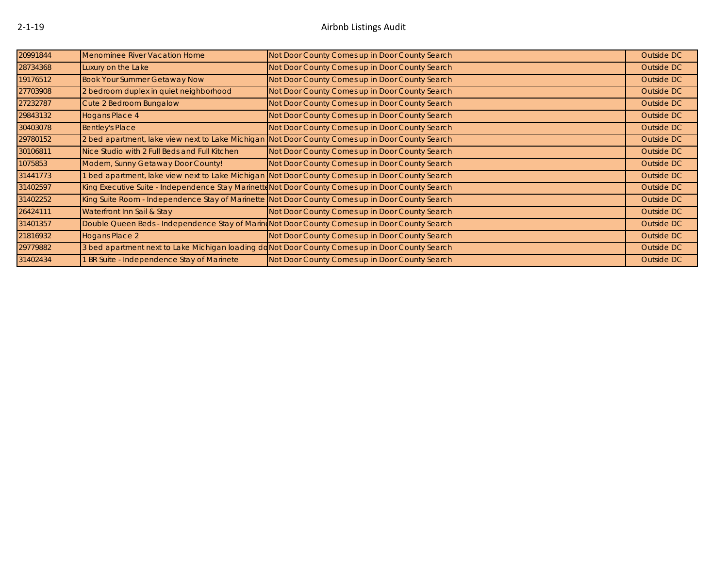| 20991844 | Menominee River Vacation Home                                                                     | Not Door County Comes up in Door County Search                                                  | Outside DC |
|----------|---------------------------------------------------------------------------------------------------|-------------------------------------------------------------------------------------------------|------------|
| 28734368 | Luxury on the Lake                                                                                | Not Door County Comes up in Door County Search                                                  | Outside DC |
| 19176512 | <b>Book Your Summer Getaway Now</b>                                                               | Not Door County Comes up in Door County Search                                                  | Outside DC |
| 27703908 | 2 bedroom duplex in quiet neighborhood                                                            | Not Door County Comes up in Door County Search                                                  | Outside DC |
| 27232787 | Cute 2 Bedroom Bungalow                                                                           | Not Door County Comes up in Door County Search                                                  | Outside DC |
| 29843132 | Hogans Place 4                                                                                    | Not Door County Comes up in Door County Search                                                  | Outside DC |
| 30403078 | <b>Bentley's Place</b>                                                                            | Not Door County Comes up in Door County Search                                                  | Outside DC |
| 29780152 | 2 bed apartment, lake view next to Lake Michigan Not Door County Comes up in Door County Search   |                                                                                                 | Outside DC |
| 30106811 | Nice Studio with 2 Full Beds and Full Kitchen                                                     | Not Door County Comes up in Door County Search                                                  | Outside DC |
| 1075853  | Modern, Sunny Getaway Door County!                                                                | Not Door County Comes up in Door County Search                                                  | Outside DC |
| 31441773 |                                                                                                   | 1 bed apartment, lake view next to Lake Michigan Not Door County Comes up in Door County Search | Outside DC |
| 31402597 | King Executive Suite - Independence Stay Marinetto Not Door County Comes up in Door County Search |                                                                                                 | Outside DC |
| 31402252 | King Suite Room - Independence Stay of Marinette Not Door County Comes up in Door County Search   |                                                                                                 | Outside DC |
| 26424111 | Waterfront Inn Sail & Stay                                                                        | Not Door County Comes up in Door County Search                                                  | Outside DC |
| 31401357 | Double Queen Beds - Independence Stay of Marin Not Door County Comes up in Door County Search     |                                                                                                 | Outside DC |
| 21816932 | <b>Hogans Place 2</b>                                                                             | Not Door County Comes up in Door County Search                                                  | Outside DC |
| 29779882 | 3 bed apartment next to Lake Michigan loading doNot Door County Comes up in Door County Search    |                                                                                                 | Outside DC |
| 31402434 | 1 BR Suite - Independence Stay of Marinete                                                        | Not Door County Comes up in Door County Search                                                  | Outside DC |